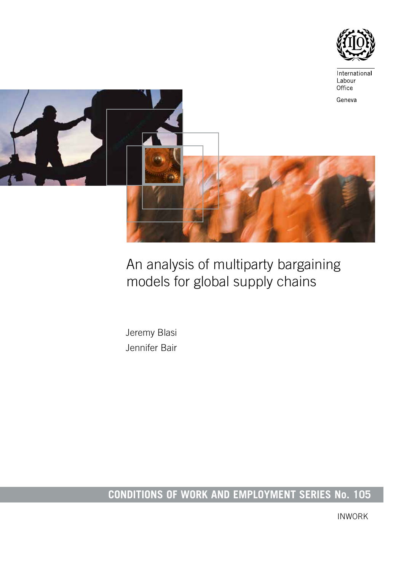

# An analysis of multiparty bargaining models for global supply chains

Jeremy Blasi Jennifer Bair

# **CONDITIONS OF WORK AND EMPLOYMENT SERIES No. 105**

INWORK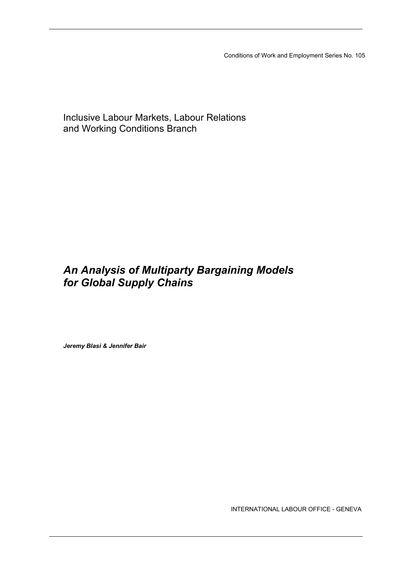Conditions of Work and Employment Series No. 105

Inclusive Labour Markets, Labour Relations and Working Conditions Branch

## *An Analysis of Multiparty Bargaining Models for Global Supply Chains*

*Jeremy Blasi & Jennifer Bair*

INTERNATIONAL LABOUR OFFICE - GENEVA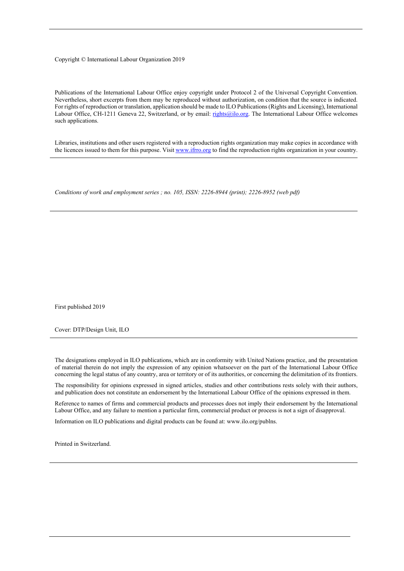#### Copyright © International Labour Organization 2019

Publications of the International Labour Office enjoy copyright under Protocol 2 of the Universal Copyright Convention. Nevertheless, short excerpts from them may be reproduced without authorization, on condition that the source is indicated. For rights of reproduction or translation, application should be made to ILO Publications (Rights and Licensing), International Labour Office, CH-1211 Geneva 22, Switzerland, or by email: [rights@ilo.org.](mailto:rights@ilo.org) The International Labour Office welcomes such applications.

Libraries, institutions and other users registered with a reproduction rights organization may make copies in accordance with the licences issued to them for this purpose. Visit [www.ifrro.org](http://www.iffro.org/) to find the reproduction rights organization in your country.

*Conditions of work and employment series ; no. 105, ISSN: 2226-8944 (print); 2226-8952 (web pdf)*

First published 2019

Cover: DTP/Design Unit, ILO

The designations employed in ILO publications, which are in conformity with United Nations practice, and the presentation of material therein do not imply the expression of any opinion whatsoever on the part of the International Labour Office concerning the legal status of any country, area or territory or of its authorities, or concerning the delimitation of its frontiers.

The responsibility for opinions expressed in signed articles, studies and other contributions rests solely with their authors, and publication does not constitute an endorsement by the International Labour Office of the opinions expressed in them.

Reference to names of firms and commercial products and processes does not imply their endorsement by the International Labour Office, and any failure to mention a particular firm, commercial product or process is not a sign of disapproval.

Information on ILO publications and digital products can be found at: www.ilo.org/publns.

Printed in Switzerland.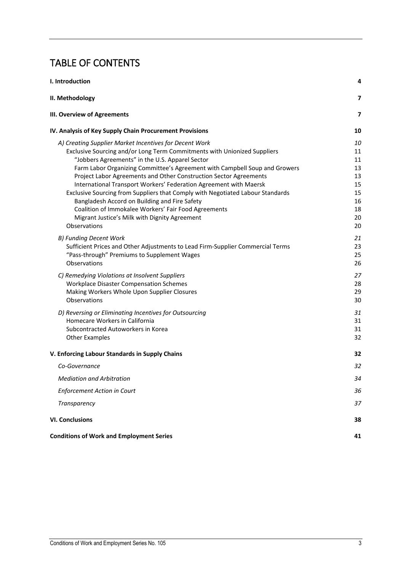## TABLE OF CONTENTS

<span id="page-3-0"></span>

| I. Introduction                                                                                                                                                                                                                                                                                                                                                                                                                                                                                                                                                                                                                                                           | 4                                                              |
|---------------------------------------------------------------------------------------------------------------------------------------------------------------------------------------------------------------------------------------------------------------------------------------------------------------------------------------------------------------------------------------------------------------------------------------------------------------------------------------------------------------------------------------------------------------------------------------------------------------------------------------------------------------------------|----------------------------------------------------------------|
| II. Methodology                                                                                                                                                                                                                                                                                                                                                                                                                                                                                                                                                                                                                                                           | 7                                                              |
| <b>III. Overview of Agreements</b>                                                                                                                                                                                                                                                                                                                                                                                                                                                                                                                                                                                                                                        | 7                                                              |
| IV. Analysis of Key Supply Chain Procurement Provisions                                                                                                                                                                                                                                                                                                                                                                                                                                                                                                                                                                                                                   | 10                                                             |
| A) Creating Supplier Market Incentives for Decent Work<br>Exclusive Sourcing and/or Long Term Commitments with Unionized Suppliers<br>"Jobbers Agreements" in the U.S. Apparel Sector<br>Farm Labor Organizing Committee's Agreement with Campbell Soup and Growers<br>Project Labor Agreements and Other Construction Sector Agreements<br>International Transport Workers' Federation Agreement with Maersk<br>Exclusive Sourcing from Suppliers that Comply with Negotiated Labour Standards<br>Bangladesh Accord on Building and Fire Safety<br>Coalition of Immokalee Workers' Fair Food Agreements<br>Migrant Justice's Milk with Dignity Agreement<br>Observations | 10<br>11<br>11<br>13<br>13<br>15<br>15<br>16<br>18<br>20<br>20 |
| B) Funding Decent Work<br>Sufficient Prices and Other Adjustments to Lead Firm-Supplier Commercial Terms<br>"Pass-through" Premiums to Supplement Wages<br>Observations                                                                                                                                                                                                                                                                                                                                                                                                                                                                                                   | 21<br>23<br>25<br>26                                           |
| C) Remedying Violations at Insolvent Suppliers<br><b>Workplace Disaster Compensation Schemes</b><br>Making Workers Whole Upon Supplier Closures<br>Observations                                                                                                                                                                                                                                                                                                                                                                                                                                                                                                           | 27<br>28<br>29<br>30                                           |
| D) Reversing or Eliminating Incentives for Outsourcing<br>Homecare Workers in California<br>Subcontracted Autoworkers in Korea<br><b>Other Examples</b>                                                                                                                                                                                                                                                                                                                                                                                                                                                                                                                   | 31<br>31<br>31<br>32                                           |
| V. Enforcing Labour Standards in Supply Chains                                                                                                                                                                                                                                                                                                                                                                                                                                                                                                                                                                                                                            | 32                                                             |
| Co-Governance                                                                                                                                                                                                                                                                                                                                                                                                                                                                                                                                                                                                                                                             | 32                                                             |
| <b>Mediation and Arbitration</b>                                                                                                                                                                                                                                                                                                                                                                                                                                                                                                                                                                                                                                          | 34                                                             |
| Enforcement Action in Court                                                                                                                                                                                                                                                                                                                                                                                                                                                                                                                                                                                                                                               | 36                                                             |
| Transparency                                                                                                                                                                                                                                                                                                                                                                                                                                                                                                                                                                                                                                                              | 37                                                             |
| <b>VI. Conclusions</b>                                                                                                                                                                                                                                                                                                                                                                                                                                                                                                                                                                                                                                                    | 38                                                             |
| <b>Conditions of Work and Employment Series</b>                                                                                                                                                                                                                                                                                                                                                                                                                                                                                                                                                                                                                           | 41                                                             |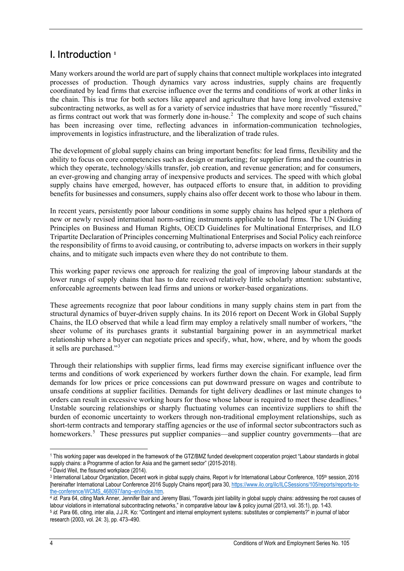## I. Introduction **[1](#page-4-0)**

Many workers around the world are part of supply chains that connect multiple workplaces into integrated processes of production. Though dynamics vary across industries, supply chains are frequently coordinated by lead firms that exercise influence over the terms and conditions of work at other links in the chain. This is true for both sectors like apparel and agriculture that have long involved extensive subcontracting networks, as well as for a variety of service industries that have more recently "fissured," as firms contract out work that was formerly done in-house. [2](#page-4-1) The complexity and scope of such chains has been increasing over time, reflecting advances in information-communication technologies, improvements in logistics infrastructure, and the liberalization of trade rules.

The development of global supply chains can bring important benefits: for lead firms, flexibility and the ability to focus on core competencies such as design or marketing; for supplier firms and the countries in which they operate, technology/skills transfer, job creation, and revenue generation; and for consumers, an ever-growing and changing array of inexpensive products and services. The speed with which global supply chains have emerged, however, has outpaced efforts to ensure that, in addition to providing benefits for businesses and consumers, supply chains also offer decent work to those who labour in them.

In recent years, persistently poor labour conditions in some supply chains has helped spur a plethora of new or newly revised international norm-setting instruments applicable to lead firms. The UN Guiding Principles on Business and Human Rights, OECD Guidelines for Multinational Enterprises, and ILO Tripartite Declaration of Principles concerning Multinational Enterprises and Social Policy each reinforce the responsibility of firms to avoid causing, or contributing to, adverse impacts on workers in their supply chains, and to mitigate such impacts even where they do not contribute to them.

This working paper reviews one approach for realizing the goal of improving labour standards at the lower rungs of supply chains that has to date received relatively little scholarly attention: substantive, enforceable agreements between lead firms and unions or worker-based organizations.

These agreements recognize that poor labour conditions in many supply chains stem in part from the structural dynamics of buyer-driven supply chains. In its 2016 report on Decent Work in Global Supply Chains, the ILO observed that while a lead firm may employ a relatively small number of workers, "the sheer volume of its purchases grants it substantial bargaining power in an asymmetrical market relationship where a buyer can negotiate prices and specify, what, how, where, and by whom the goods it sells are purchased."[3](#page-4-2)

Through their relationships with supplier firms, lead firms may exercise significant influence over the terms and conditions of work experienced by workers further down the chain. For example, lead firm demands for low prices or price concessions can put downward pressure on wages and contribute to unsafe conditions at supplier facilities. Demands for tight delivery deadlines or last minute changes to orders can result in excessive working hours for those whose labour is required to meet these deadlines.<sup>[4](#page-4-3)</sup> Unstable sourcing relationships or sharply fluctuating volumes can incentivize suppliers to shift the burden of economic uncertainty to workers through non-traditional employment relationships, such as short-term contracts and temporary staffing agencies or the use of informal sector subcontractors such as homeworkers.<sup>[5](#page-5-0)</sup> These pressures put supplier companies—and supplier country governments—that are

 $\overline{a}$ <sup>1</sup> This working paper was developed in the framework of the GTZ/BMZ funded development cooperation project "Labour standards in global supply chains: a Programme of action for Asia and the garment sector" (2015-2018).<br><sup>2</sup> David Weil, the fissured workplace (2014).

<span id="page-4-0"></span>

<span id="page-4-2"></span><span id="page-4-1"></span><sup>3</sup> International Labour Organization, Decent work in global supply chains, Report iv for International Labour Conference, 105<sup>th</sup> session, 2016 [hereinafter International Labour Conference 2016 Supply Chains report] para 30, [https://www.ilo.org/ilc/ILCSessions/105/reports/reports-to](https://www.ilo.org/ilc/ILCSessions/105/reports/reports-to-the-conference/WCMS_468097/lang--en/index.htm)[the-conference/WCMS\\_468097/lang--en/index.htm.](https://www.ilo.org/ilc/ILCSessions/105/reports/reports-to-the-conference/WCMS_468097/lang--en/index.htm) 4 in a intervention of the conference/WCMS\_468097/lang-en/index.htm<br>4 *id.* Para 64, citing Mark Anner, Jennifer Bair and Jeremy Blasi, "Towards joint liability in global supp

labour violations in international subcontracting networks," in comparative labour law & policy journal (2013, vol. 35:1), pp. 1-43. <sup>5</sup> *id.* Para 66, citing, inter alia, J.J.R. Ko: "Contingent and internal employment systems: substitutes or complements?" in journal of labor

<span id="page-4-3"></span>research (2003, vol. 24: 3), pp. 473–490.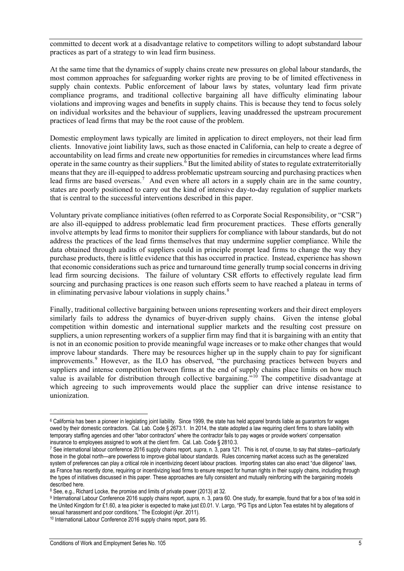committed to decent work at a disadvantage relative to competitors willing to adopt substandard labour practices as part of a strategy to win lead firm business.

At the same time that the dynamics of supply chains create new pressures on global labour standards, the most common approaches for safeguarding worker rights are proving to be of limited effectiveness in supply chain contexts. Public enforcement of labour laws by states, voluntary lead firm private compliance programs, and traditional collective bargaining all have difficulty eliminating labour violations and improving wages and benefits in supply chains. This is because they tend to focus solely on individual worksites and the behaviour of suppliers, leaving unaddressed the upstream procurement practices of lead firms that may be the root cause of the problem.

Domestic employment laws typically are limited in application to direct employers, not their lead firm clients. Innovative joint liability laws, such as those enacted in California, can help to create a degree of accountability on lead firms and create new opportunities for remedies in circumstances where lead firms operate in the same country as their suppliers.<sup>[6](#page-5-1)</sup> But the limited ability of states to regulate extraterritorially means that they are ill-equipped to address problematic upstream sourcing and purchasing practices when lead firms are based overseas.<sup>[7](#page-5-2)</sup> And even where all actors in a supply chain are in the same country, states are poorly positioned to carry out the kind of intensive day-to-day regulation of supplier markets that is central to the successful interventions described in this paper.

Voluntary private compliance initiatives (often referred to as Corporate Social Responsibility, or "CSR") are also ill-equipped to address problematic lead firm procurement practices. These efforts generally involve attempts by lead firms to monitor their suppliers for compliance with labour standards, but do not address the practices of the lead firms themselves that may undermine supplier compliance. While the data obtained through audits of suppliers could in principle prompt lead firms to change the way they purchase products, there is little evidence that this has occurred in practice. Instead, experience has shown that economic considerations such as price and turnaround time generally trump social concerns in driving lead firm sourcing decisions. The failure of voluntary CSR efforts to effectively regulate lead firm sourcing and purchasing practices is one reason such efforts seem to have reached a plateau in terms of in eliminating pervasive labour violations in supply chains. $8$ 

Finally, traditional collective bargaining between unions representing workers and their direct employers similarly fails to address the dynamics of buyer-driven supply chains. Given the intense global competition within domestic and international supplier markets and the resulting cost pressure on suppliers, a union representing workers of a supplier firm may find that it is bargaining with an entity that is not in an economic position to provide meaningful wage increases or to make other changes that would improve labour standards. There may be resources higher up in the supply chain to pay for significant improvements.<sup>[9](#page-5-4)</sup> However, as the ILO has observed, "the purchasing practices between buyers and suppliers and intense competition between firms at the end of supply chains place limits on how much value is available for distribution through collective bargaining.<sup> $510$  $510$ </sup> The competitive disadvantage at which agreeing to such improvements would place the supplier can drive intense resistance to unionization.

<span id="page-5-1"></span><span id="page-5-0"></span> $\overline{a}$ <sup>6</sup> California has been a pioneer in legislating joint liability. Since 1999, the state has held apparel brands liable as guarantors for wages owed by their domestic contractors. Cal. Lab. Code § 2673.1. In 2014, the state adopted a law requiring client firms to share liability with temporary staffing agencies and other "labor contractors" where the contractor fails to pay wages or provide workers' compensation insurance to employees assigned to work at the client firm. Cal. Lab. Code § 2810.3.

<span id="page-5-2"></span><sup>7</sup> See international labour conference 2016 supply chains report, *supra*, n. 3, para 121. This is not, of course, to say that states—particularly those in the global north—are powerless to improve global labour standards. Rules concerning market access such as the generalized system of preferences can play a critical role in incentivizing decent labour practices. Importing states can also enact "due diligence" laws, as France has recently done, requiring or incentivizing lead firms to ensure respect for human rights in their supply chains, including through the types of initiatives discussed in this paper. These approaches are fully consistent and mutually reinforcing with the bargaining models described here.

<sup>8</sup> See, e.g., Richard Locke, the promise and limits of private power (2013) at 32.

<span id="page-5-4"></span><span id="page-5-3"></span><sup>9</sup> International Labour Conference 2016 supply chains report, *supra*, n. 3, para 60. One study, for example, found that for a box of tea sold in the United Kingdom for £1.60, a tea picker is expected to make just £0.01. V. Largo, "PG Tips and Lipton Tea estates hit by allegations of sexual harassment and poor conditions," The Ecologist (Apr. 2011).

<span id="page-5-5"></span><sup>10</sup> International Labour Conference 2016 supply chains report, para 95.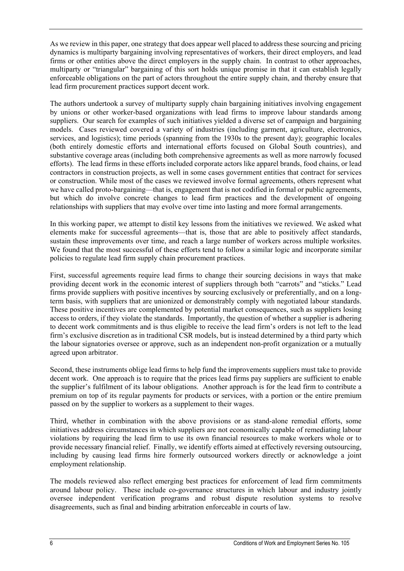As we review in this paper, one strategy that does appear well placed to address these sourcing and pricing dynamics is multiparty bargaining involving representatives of workers, their direct employers, and lead firms or other entities above the direct employers in the supply chain. In contrast to other approaches, multiparty or "triangular" bargaining of this sort holds unique promise in that it can establish legally enforceable obligations on the part of actors throughout the entire supply chain, and thereby ensure that lead firm procurement practices support decent work.

The authors undertook a survey of multiparty supply chain bargaining initiatives involving engagement by unions or other worker-based organizations with lead firms to improve labour standards among suppliers. Our search for examples of such initiatives yielded a diverse set of campaign and bargaining models. Cases reviewed covered a variety of industries (including garment, agriculture, electronics, services, and logistics); time periods (spanning from the 1930s to the present day); geographic locales (both entirely domestic efforts and international efforts focused on Global South countries), and substantive coverage areas (including both comprehensive agreements as well as more narrowly focused efforts). The lead firms in these efforts included corporate actors like apparel brands, food chains, or lead contractors in construction projects, as well in some cases government entities that contract for services or construction. While most of the cases we reviewed involve formal agreements, others represent what we have called proto-bargaining—that is, engagement that is not codified in formal or public agreements, but which do involve concrete changes to lead firm practices and the development of ongoing relationships with suppliers that may evolve over time into lasting and more formal arrangements.

In this working paper, we attempt to distil key lessons from the initiatives we reviewed. We asked what elements make for successful agreements—that is, those that are able to positively affect standards, sustain these improvements over time, and reach a large number of workers across multiple worksites. We found that the most successful of these efforts tend to follow a similar logic and incorporate similar policies to regulate lead firm supply chain procurement practices.

First, successful agreements require lead firms to change their sourcing decisions in ways that make providing decent work in the economic interest of suppliers through both "carrots" and "sticks." Lead firms provide suppliers with positive incentives by sourcing exclusively or preferentially, and on a longterm basis, with suppliers that are unionized or demonstrably comply with negotiated labour standards. These positive incentives are complemented by potential market consequences, such as suppliers losing access to orders, if they violate the standards. Importantly, the question of whether a supplier is adhering to decent work commitments and is thus eligible to receive the lead firm's orders is not left to the lead firm's exclusive discretion as in traditional CSR models, but is instead determined by a third party which the labour signatories oversee or approve, such as an independent non-profit organization or a mutually agreed upon arbitrator.

Second, these instruments oblige lead firms to help fund the improvements suppliers must take to provide decent work. One approach is to require that the prices lead firms pay suppliers are sufficient to enable the supplier's fulfilment of its labour obligations. Another approach is for the lead firm to contribute a premium on top of its regular payments for products or services, with a portion or the entire premium passed on by the supplier to workers as a supplement to their wages.

Third, whether in combination with the above provisions or as stand-alone remedial efforts, some initiatives address circumstances in which suppliers are not economically capable of remediating labour violations by requiring the lead firm to use its own financial resources to make workers whole or to provide necessary financial relief. Finally, we identify efforts aimed at effectively reversing outsourcing, including by causing lead firms hire formerly outsourced workers directly or acknowledge a joint employment relationship.

The models reviewed also reflect emerging best practices for enforcement of lead firm commitments around labour policy. These include co-governance structures in which labour and industry jointly oversee independent verification programs and robust dispute resolution systems to resolve disagreements, such as final and binding arbitration enforceable in courts of law.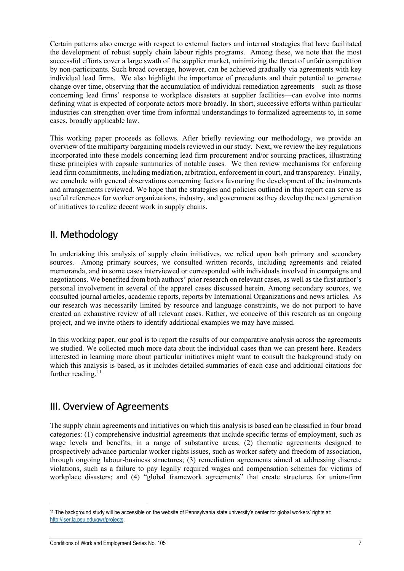Certain patterns also emerge with respect to external factors and internal strategies that have facilitated the development of robust supply chain labour rights programs. Among these, we note that the most successful efforts cover a large swath of the supplier market, minimizing the threat of unfair competition by non-participants. Such broad coverage, however, can be achieved gradually via agreements with key individual lead firms. We also highlight the importance of precedents and their potential to generate change over time, observing that the accumulation of individual remediation agreements—such as those concerning lead firms' response to workplace disasters at supplier facilities—can evolve into norms defining what is expected of corporate actors more broadly. In short, successive efforts within particular industries can strengthen over time from informal understandings to formalized agreements to, in some cases, broadly applicable law.

This working paper proceeds as follows. After briefly reviewing our methodology, we provide an overview of the multiparty bargaining models reviewed in our study. Next, we review the key regulations incorporated into these models concerning lead firm procurement and/or sourcing practices, illustrating these principles with capsule summaries of notable cases. We then review mechanisms for enforcing lead firm commitments, including mediation, arbitration, enforcement in court, and transparency. Finally, we conclude with general observations concerning factors favouring the development of the instruments and arrangements reviewed. We hope that the strategies and policies outlined in this report can serve as useful references for worker organizations, industry, and government as they develop the next generation of initiatives to realize decent work in supply chains.

## <span id="page-7-0"></span>II. Methodology

In undertaking this analysis of supply chain initiatives, we relied upon both primary and secondary sources. Among primary sources, we consulted written records, including agreements and related memoranda, and in some cases interviewed or corresponded with individuals involved in campaigns and negotiations. We benefited from both authors' prior research on relevant cases, as well as the first author's personal involvement in several of the apparel cases discussed herein. Among secondary sources, we consulted journal articles, academic reports, reports by International Organizations and news articles. As our research was necessarily limited by resource and language constraints, we do not purport to have created an exhaustive review of all relevant cases. Rather, we conceive of this research as an ongoing project, and we invite others to identify additional examples we may have missed.

In this working paper, our goal is to report the results of our comparative analysis across the agreements we studied. We collected much more data about the individual cases than we can present here. Readers interested in learning more about particular initiatives might want to consult the background study on which this analysis is based, as it includes detailed summaries of each case and additional citations for further reading.<sup>[11](#page-7-2)</sup>

## <span id="page-7-1"></span>III. Overview of Agreements

The supply chain agreements and initiatives on which this analysis is based can be classified in four broad categories: (1) comprehensive industrial agreements that include specific terms of employment, such as wage levels and benefits, in a range of substantive areas; (2) thematic agreements designed to prospectively advance particular worker rights issues, such as worker safety and freedom of association, through ongoing labour-business structures; (3) remediation agreements aimed at addressing discrete violations, such as a failure to pay legally required wages and compensation schemes for victims of workplace disasters; and (4) "global framework agreements" that create structures for union-firm

<span id="page-7-2"></span> $\overline{a}$ <sup>11</sup> The background study will be accessible on the website of Pennsylvania state university's center for global workers' rights at: [http://lser.la.psu.edu/gwr/projects.](http://lser.la.psu.edu/gwr/projects)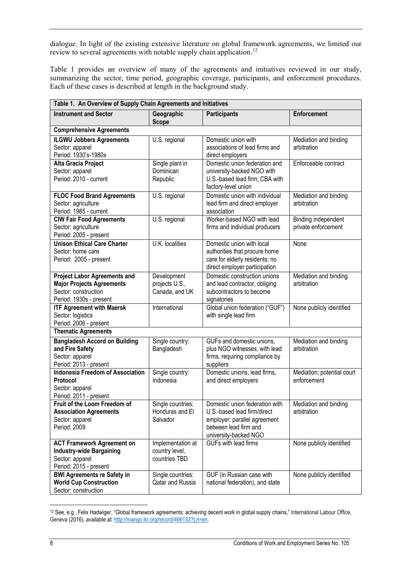dialogue. In light of the existing extensive literature on global framework agreements, we limited our review to several agreements with notable supply chain application.<sup>[12](#page-8-0)</sup>

Table 1 provides an overview of many of the agreements and initiatives reviewed in our study, summarizing the sector, time period, geographic coverage, participants, and enforcement procedures. Each of these cases is described at length in the background study.

| Table 1. An Overview of Supply Chain Agreements and Initiatives                                                            |                                                      |                                                                                                                                                 |                                            |
|----------------------------------------------------------------------------------------------------------------------------|------------------------------------------------------|-------------------------------------------------------------------------------------------------------------------------------------------------|--------------------------------------------|
| <b>Instrument and Sector</b>                                                                                               | Geographic<br><b>Scope</b>                           | <b>Participants</b>                                                                                                                             | <b>Enforcement</b>                         |
| <b>Comprehensive Agreements</b>                                                                                            |                                                      |                                                                                                                                                 |                                            |
| <b>ILGWU Jobbers Agreements</b><br>Sector: apparel<br>Period: 1930's-1980s                                                 | U.S. regional                                        | Domestic union with<br>associations of lead firms and<br>direct employers                                                                       | Mediation and binding<br>arbitration       |
| Alta Gracia Project<br>Sector: apparel<br>Period: 2010 - current                                                           | Single plant in<br>Dominican<br>Republic             | Domestic union federation and<br>university-backed NGO with<br>U.S.-based lead firm; CBA with<br>factory-level union                            | Enforceable contract                       |
| <b>FLOC Food Brand Agreements</b><br>Sector: agriculture<br>Period: 1985 - current                                         | U.S. regional                                        | Domestic union with individual<br>lead firm and direct employer<br>association                                                                  | Mediation and binding<br>arbitration       |
| <b>CIW Fair Food Agreements</b><br>Sector: agriculture<br>Period: 2005 - present                                           | U.S. regional                                        | Worker-based NGO with lead<br>firms and individual producers                                                                                    | Binding independent<br>private enforcement |
| <b>Unison Ethical Care Charter</b><br>Sector: home care<br>Period: 2005 - present                                          | U.K. localities                                      | Domestic union with local<br>authorities that procure home<br>care for elderly residents; no<br>direct employer participation                   | None                                       |
| <b>Project Labor Agreements and</b><br><b>Major Projects Agreements</b><br>Sector: construction<br>Period: 1930s - present | Development<br>projects U.S.,<br>Canada, and UK      | Domestic construction unions<br>and lead contractor, obliging<br>subcontractors to become<br>signatories                                        | Mediation and binding<br>arbitration       |
| <b>ITF Agreement with Maersk</b><br>Sector: logistics<br>Period: 2006 - present                                            | International                                        | Global union federation ("GUF")<br>with single lead firm                                                                                        | None publicly identified                   |
| <b>Thematic Agreements</b>                                                                                                 |                                                      |                                                                                                                                                 |                                            |
| <b>Bangladesh Accord on Building</b><br>and Fire Safety<br>Sector: apparel<br>Period: 2013 - present                       | Single country:<br>Bangladesh                        | GUFs and domestic unions,<br>plus NGO witnesses, with lead<br>firms, requiring compliance by<br>suppliers                                       | Mediation and binding<br>arbitration       |
| <b>Indonesia Freedom of Association</b><br><b>Protocol</b><br>Sector: apparel<br>Period: 2011 - present                    | Single country:<br>Indonesia                         | Domestic unions, lead firms,<br>and direct employers                                                                                            | Mediation; potential court<br>enforcement  |
| Fruit of the Loom Freedom of<br><b>Association Agreements</b><br>Sector: apparel<br>Period: 2009                           | Single countries:<br>Honduras and El<br>Salvador     | Domestic union federation with<br>U.S.-based lead firm/direct<br>employer; parallel agreement<br>between lead firm and<br>university-backed NGO | Mediation and binding<br>arbitration       |
| <b>ACT Framework Agreement on</b><br><b>Industry-wide Bargaining</b><br>Sector: apparel<br>Period: 2015 - present          | Implementation at<br>country level,<br>countries TBD | GUFs with lead firms                                                                                                                            | None publicly identified                   |
| <b>BWI Agreements re Safety in</b><br><b>World Cup Construction</b><br>Sector: construction                                | Single countries:<br>Qatar and Russia                | GUF (in Russian case with<br>national federation), and state                                                                                    | None publicly identified                   |

<span id="page-8-0"></span><sup>12</sup> See, e.g., Felix Hadwiger, "Global framework agreements: achieving decent work in global supply chains," International Labour Office, Geneva (2016), available at[: http://mango.ilo.org/record/466133?Ln=en.](http://mango.ilo.org/record/466133?Ln=en)

 $\overline{a}$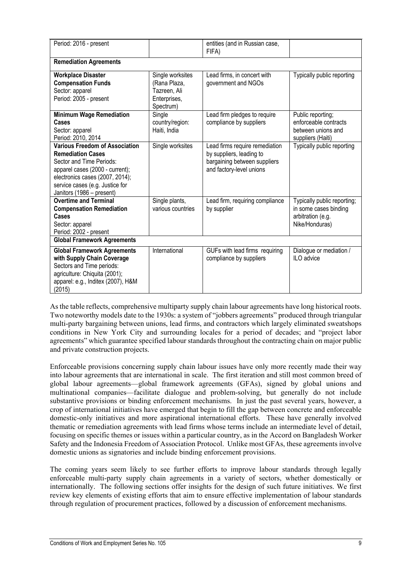| Period: 2016 - present                                                                                                                                                                                                              |                                                                               | entities (and in Russian case,<br>FIFA)                                                                                |                                                                                             |
|-------------------------------------------------------------------------------------------------------------------------------------------------------------------------------------------------------------------------------------|-------------------------------------------------------------------------------|------------------------------------------------------------------------------------------------------------------------|---------------------------------------------------------------------------------------------|
| <b>Remediation Agreements</b>                                                                                                                                                                                                       |                                                                               |                                                                                                                        |                                                                                             |
| <b>Workplace Disaster</b><br><b>Compensation Funds</b><br>Sector: apparel<br>Period: 2005 - present                                                                                                                                 | Single worksites<br>(Rana Plaza,<br>Tazreen, Ali<br>Enterprises,<br>Spectrum) | Lead firms, in concert with<br>government and NGOs                                                                     | Typically public reporting                                                                  |
| <b>Minimum Wage Remediation</b><br>Cases<br>Sector: apparel<br>Period: 2010, 2014                                                                                                                                                   | Single<br>country/region:<br>Haiti, India                                     | Lead firm pledges to require<br>compliance by suppliers                                                                | Public reporting;<br>enforceable contracts<br>between unions and<br>suppliers (Haiti)       |
| <b>Various Freedom of Association</b><br><b>Remediation Cases</b><br>Sector and Time Periods:<br>apparel cases (2000 - current);<br>electronics cases (2007, 2014);<br>service cases (e.g. Justice for<br>Janitors (1986 - present) | Single worksites                                                              | Lead firms require remediation<br>by suppliers, leading to<br>bargaining between suppliers<br>and factory-level unions | Typically public reporting                                                                  |
| <b>Overtime and Terminal</b><br><b>Compensation Remediation</b><br>Cases<br>Sector: apparel<br>Period: 2002 - present                                                                                                               | Single plants,<br>various countries                                           | Lead firm, requiring compliance<br>by supplier                                                                         | Typically public reporting;<br>in some cases binding<br>arbitration (e.g.<br>Nike/Honduras) |
| <b>Global Framework Agreements</b>                                                                                                                                                                                                  |                                                                               |                                                                                                                        |                                                                                             |
| <b>Global Framework Agreements</b><br>with Supply Chain Coverage<br>Sectors and Time periods:<br>agriculture: Chiquita (2001);<br>apparel: e.g., Inditex (2007), H&M<br>(2015)                                                      | International                                                                 | GUFs with lead firms requiring<br>compliance by suppliers                                                              | Dialogue or mediation /<br>ILO advice                                                       |

As the table reflects, comprehensive multiparty supply chain labour agreements have long historical roots. Two noteworthy models date to the 1930s: a system of "jobbers agreements" produced through triangular multi-party bargaining between unions, lead firms, and contractors which largely eliminated sweatshops conditions in New York City and surrounding locales for a period of decades; and "project labor agreements" which guarantee specified labour standards throughout the contracting chain on major public and private construction projects.

Enforceable provisions concerning supply chain labour issues have only more recently made their way into labour agreements that are international in scale. The first iteration and still most common breed of global labour agreements—global framework agreements (GFAs), signed by global unions and multinational companies—facilitate dialogue and problem-solving, but generally do not include substantive provisions or binding enforcement mechanisms. In just the past several years, however, a crop of international initiatives have emerged that begin to fill the gap between concrete and enforceable domestic-only initiatives and more aspirational international efforts. These have generally involved thematic or remediation agreements with lead firms whose terms include an intermediate level of detail, focusing on specific themes or issues within a particular country, as in the Accord on Bangladesh Worker Safety and the Indonesia Freedom of Association Protocol. Unlike most GFAs, these agreements involve domestic unions as signatories and include binding enforcement provisions.

The coming years seem likely to see further efforts to improve labour standards through legally enforceable multi-party supply chain agreements in a variety of sectors, whether domestically or internationally. The following sections offer insights for the design of such future initiatives. We first review key elements of existing efforts that aim to ensure effective implementation of labour standards through regulation of procurement practices, followed by a discussion of enforcement mechanisms.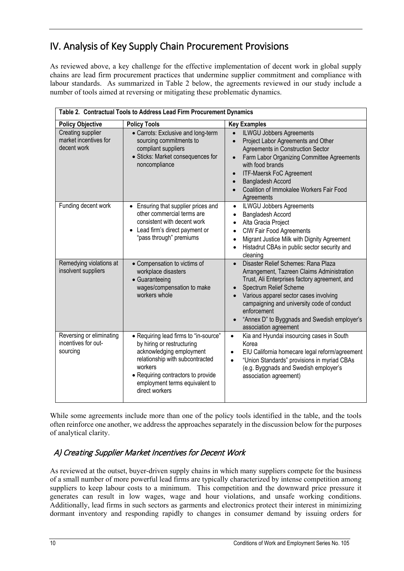## <span id="page-10-0"></span>IV. Analysis of Key Supply Chain Procurement Provisions

As reviewed above, a key challenge for the effective implementation of decent work in global supply chains are lead firm procurement practices that undermine supplier commitment and compliance with labour standards. As summarized in Table 2 below, the agreements reviewed in our study include a number of tools aimed at reversing or mitigating these problematic dynamics.

| Table 2. Contractual Tools to Address Lead Firm Procurement Dynamics |                                                                                                                                                                                                                                         |                                                                                                                                                                                                                                                                                                                                                           |
|----------------------------------------------------------------------|-----------------------------------------------------------------------------------------------------------------------------------------------------------------------------------------------------------------------------------------|-----------------------------------------------------------------------------------------------------------------------------------------------------------------------------------------------------------------------------------------------------------------------------------------------------------------------------------------------------------|
| <b>Policy Objective</b>                                              | <b>Policy Tools</b>                                                                                                                                                                                                                     | <b>Key Examples</b>                                                                                                                                                                                                                                                                                                                                       |
| Creating supplier<br>market incentives for<br>decent work            | • Carrots: Exclusive and long-term<br>sourcing commitments to<br>compliant suppliers<br>· Sticks: Market consequences for<br>noncompliance                                                                                              | <b>ILWGU Jobbers Agreements</b><br>$\bullet$<br>Project Labor Agreements and Other<br>$\bullet$<br>Agreements in Construction Sector<br>Farm Labor Organizing Committee Agreements<br>$\bullet$<br>with food brands<br><b>ITF-Maersk FoC Agreement</b><br>Bangladesh Accord<br>Coalition of Immokalee Workers Fair Food<br>Agreements                     |
| Funding decent work                                                  | Ensuring that supplier prices and<br>other commercial terms are<br>consistent with decent work<br>Lead firm's direct payment or<br>$\bullet$<br>"pass through" premiums                                                                 | <b>ILWGU Jobbers Agreements</b><br>$\bullet$<br>Bangladesh Accord<br>$\bullet$<br>Alta Gracia Project<br>$\bullet$<br><b>CIW Fair Food Agreements</b><br>$\bullet$<br>Migrant Justice Milk with Dignity Agreement<br>$\bullet$<br>Histadrut CBAs in public sector security and<br>$\bullet$<br>cleaning                                                   |
| Remedying violations at<br>insolvent suppliers                       | • Compensation to victims of<br>workplace disasters<br>• Guaranteeing<br>wages/compensation to make<br>workers whole                                                                                                                    | Disaster Relief Schemes: Rana Plaza<br>$\bullet$<br>Arrangement, Tazreen Claims Administration<br>Trust, Ali Enterprises factory agreement, and<br>Spectrum Relief Scheme<br>Various apparel sector cases involving<br>campaigning and university code of conduct<br>enforcement<br>"Annex D" to Byggnads and Swedish employer's<br>association agreement |
| Reversing or eliminating<br>incentives for out-<br>sourcing          | • Requiring lead firms to "in-source"<br>by hiring or restructuring<br>acknowledging employment<br>relationship with subcontracted<br>workers<br>• Requiring contractors to provide<br>employment terms equivalent to<br>direct workers | Kia and Hyundai insourcing cases in South<br>$\bullet$<br>Korea<br>EIU California homecare legal reform/agreement<br>$\bullet$<br>"Union Standards" provisions in myriad CBAs<br>$\bullet$<br>(e.g. Byggnads and Swedish employer's<br>association agreement)                                                                                             |

While some agreements include more than one of the policy tools identified in the table, and the tools often reinforce one another, we address the approaches separately in the discussion below for the purposes of analytical clarity.

## <span id="page-10-1"></span>A) Creating Supplier Market Incentives for Decent Work

As reviewed at the outset, buyer-driven supply chains in which many suppliers compete for the business of a small number of more powerful lead firms are typically characterized by intense competition among suppliers to keep labour costs to a minimum. This competition and the downward price pressure it generates can result in low wages, wage and hour violations, and unsafe working conditions. Additionally, lead firms in such sectors as garments and electronics protect their interest in minimizing dormant inventory and responding rapidly to changes in consumer demand by issuing orders for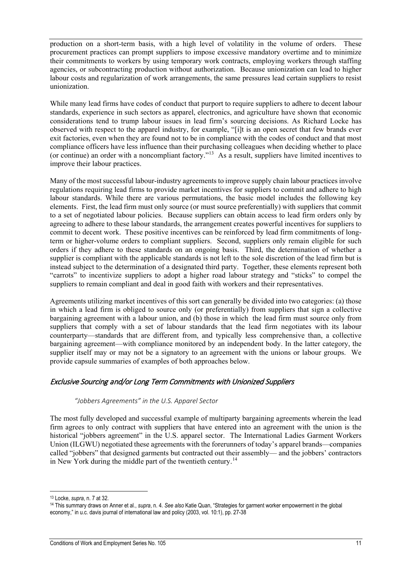production on a short-term basis, with a high level of volatility in the volume of orders. These procurement practices can prompt suppliers to impose excessive mandatory overtime and to minimize their commitments to workers by using temporary work contracts, employing workers through staffing agencies, or subcontracting production without authorization. Because unionization can lead to higher labour costs and regularization of work arrangements, the same pressures lead certain suppliers to resist unionization.

While many lead firms have codes of conduct that purport to require suppliers to adhere to decent labour standards, experience in such sectors as apparel, electronics, and agriculture have shown that economic considerations tend to trump labour issues in lead firm's sourcing decisions. As Richard Locke has observed with respect to the apparel industry, for example, "[i]t is an open secret that few brands ever exit factories, even when they are found not to be in compliance with the codes of conduct and that most compliance officers have less influence than their purchasing colleagues when deciding whether to place (or continue) an order with a noncompliant factory."[13](#page-11-2) As a result, suppliers have limited incentives to improve their labour practices.

Many of the most successful labour-industry agreements to improve supply chain labour practices involve regulations requiring lead firms to provide market incentives for suppliers to commit and adhere to high labour standards. While there are various permutations, the basic model includes the following key elements. First, the lead firm must only source (or must source preferentially) with suppliers that commit to a set of negotiated labour policies. Because suppliers can obtain access to lead firm orders only by agreeing to adhere to these labour standards, the arrangement creates powerful incentives for suppliers to commit to decent work. These positive incentives can be reinforced by lead firm commitments of longterm or higher-volume orders to compliant suppliers. Second, suppliers only remain eligible for such orders if they adhere to these standards on an ongoing basis. Third, the determination of whether a supplier is compliant with the applicable standards is not left to the sole discretion of the lead firm but is instead subject to the determination of a designated third party. Together, these elements represent both "carrots" to incentivize suppliers to adopt a higher road labour strategy and "sticks" to compel the suppliers to remain compliant and deal in good faith with workers and their representatives.

Agreements utilizing market incentives of this sort can generally be divided into two categories: (a) those in which a lead firm is obliged to source only (or preferentially) from suppliers that sign a collective bargaining agreement with a labour union, and (b) those in which the lead firm must source only from suppliers that comply with a set of labour standards that the lead firm negotiates with its labour counterparty—standards that are different from, and typically less comprehensive than, a collective bargaining agreement—with compliance monitored by an independent body. In the latter category, the supplier itself may or may not be a signatory to an agreement with the unions or labour groups. We provide capsule summaries of examples of both approaches below.

#### <span id="page-11-1"></span><span id="page-11-0"></span>Exclusive Sourcing and/or Long Term Commitments with Unionized Suppliers

*"Jobbers Agreements" in the U.S. Apparel Sector*

The most fully developed and successful example of multiparty bargaining agreements wherein the lead firm agrees to only contract with suppliers that have entered into an agreement with the union is the historical "jobbers agreement" in the U.S. apparel sector. The International Ladies Garment Workers Union (ILGWU) negotiated these agreements with the forerunners of today's apparel brands—companies called "jobbers" that designed garments but contracted out their assembly— and the jobbers' contractors in New York during the middle part of the twentieth century.<sup>[14](#page-11-3)</sup>

 $\overline{a}$ <sup>13</sup> Locke, *supra*, n. 7 at 32.

<span id="page-11-3"></span><span id="page-11-2"></span><sup>14</sup> This summary draws on Anner et al., *supra*, n. 4. *See also* Katie Quan, "Strategies for garment worker empowerment in the global economy," in u.c. davis journal of international law and policy (2003, vol. 10:1), pp. 27-38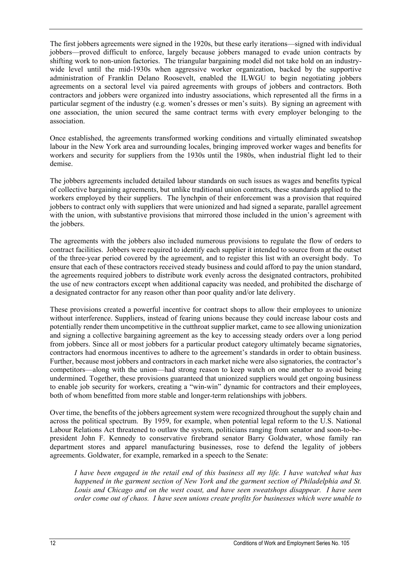The first jobbers agreements were signed in the 1920s, but these early iterations—signed with individual jobbers—proved difficult to enforce, largely because jobbers managed to evade union contracts by shifting work to non-union factories. The triangular bargaining model did not take hold on an industrywide level until the mid-1930s when aggressive worker organization, backed by the supportive administration of Franklin Delano Roosevelt, enabled the ILWGU to begin negotiating jobbers agreements on a sectoral level via paired agreements with groups of jobbers and contractors. Both contractors and jobbers were organized into industry associations, which represented all the firms in a particular segment of the industry (e.g. women's dresses or men's suits). By signing an agreement with one association, the union secured the same contract terms with every employer belonging to the association.

Once established, the agreements transformed working conditions and virtually eliminated sweatshop labour in the New York area and surrounding locales, bringing improved worker wages and benefits for workers and security for suppliers from the 1930s until the 1980s, when industrial flight led to their demise.

The jobbers agreements included detailed labour standards on such issues as wages and benefits typical of collective bargaining agreements, but unlike traditional union contracts, these standards applied to the workers employed by their suppliers. The lynchpin of their enforcement was a provision that required jobbers to contract only with suppliers that were unionized and had signed a separate, parallel agreement with the union, with substantive provisions that mirrored those included in the union's agreement with the jobbers.

The agreements with the jobbers also included numerous provisions to regulate the flow of orders to contract facilities. Jobbers were required to identify each supplier it intended to source from at the outset of the three-year period covered by the agreement, and to register this list with an oversight body. To ensure that each of these contractors received steady business and could afford to pay the union standard, the agreements required jobbers to distribute work evenly across the designated contractors, prohibited the use of new contractors except when additional capacity was needed, and prohibited the discharge of a designated contractor for any reason other than poor quality and/or late delivery.

These provisions created a powerful incentive for contract shops to allow their employees to unionize without interference. Suppliers, instead of fearing unions because they could increase labour costs and potentially render them uncompetitive in the cutthroat supplier market, came to see allowing unionization and signing a collective bargaining agreement as the key to accessing steady orders over a long period from jobbers. Since all or most jobbers for a particular product category ultimately became signatories, contractors had enormous incentives to adhere to the agreement's standards in order to obtain business. Further, because most jobbers and contractors in each market niche were also signatories, the contractor's competitors—along with the union—had strong reason to keep watch on one another to avoid being undermined. Together, these provisions guaranteed that unionized suppliers would get ongoing business to enable job security for workers, creating a "win-win" dynamic for contractors and their employees, both of whom benefitted from more stable and longer-term relationships with jobbers.

Over time, the benefits of the jobbers agreement system were recognized throughout the supply chain and across the political spectrum. By 1959, for example, when potential legal reform to the U.S. National Labour Relations Act threatened to outlaw the system, politicians ranging from senator and soon-to-bepresident John F. Kennedy to conservative firebrand senator Barry Goldwater, whose family ran department stores and apparel manufacturing businesses, rose to defend the legality of jobbers agreements. Goldwater, for example, remarked in a speech to the Senate:

*I have been engaged in the retail end of this business all my life. I have watched what has happened in the garment section of New York and the garment section of Philadelphia and St. Louis and Chicago and on the west coast, and have seen sweatshops disappear. I have seen order come out of chaos. I have seen unions create profits for businesses which were unable to*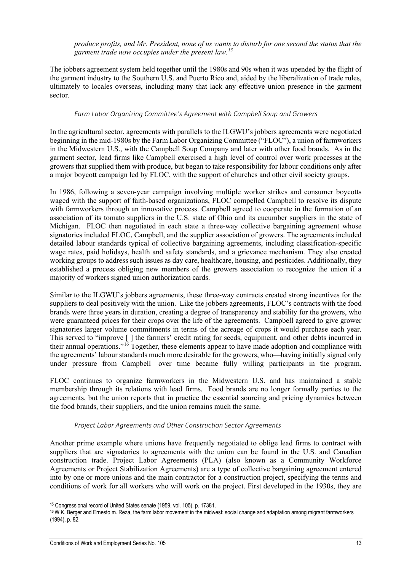*produce profits, and Mr. President, none of us wants to disturb for one second the status that the garment trade now occupies under the present law.[15](#page-13-2)*

The jobbers agreement system held together until the 1980s and 90s when it was upended by the flight of the garment industry to the Southern U.S. and Puerto Rico and, aided by the liberalization of trade rules, ultimately to locales overseas, including many that lack any effective union presence in the garment sector.

#### *Farm Labor Organizing Committee's Agreement with Campbell Soup and Growers*

<span id="page-13-0"></span>In the agricultural sector, agreements with parallels to the ILGWU's jobbers agreements were negotiated beginning in the mid-1980s by the Farm Labor Organizing Committee ("FLOC"), a union of farmworkers in the Midwestern U.S., with the Campbell Soup Company and later with other food brands. As in the garment sector, lead firms like Campbell exercised a high level of control over work processes at the growers that supplied them with produce, but began to take responsibility for labour conditions only after a major boycott campaign led by FLOC, with the support of churches and other civil society groups.

In 1986, following a seven-year campaign involving multiple worker strikes and consumer boycotts waged with the support of faith-based organizations, FLOC compelled Campbell to resolve its dispute with farmworkers through an innovative process. Campbell agreed to cooperate in the formation of an association of its tomato suppliers in the U.S. state of Ohio and its cucumber suppliers in the state of Michigan. FLOC then negotiated in each state a three-way collective bargaining agreement whose signatories included FLOC, Campbell, and the supplier association of growers. The agreements included detailed labour standards typical of collective bargaining agreements, including classification-specific wage rates, paid holidays, health and safety standards, and a grievance mechanism. They also created working groups to address such issues as day care, healthcare, housing, and pesticides. Additionally, they established a process obliging new members of the growers association to recognize the union if a majority of workers signed union authorization cards.

Similar to the ILGWU's jobbers agreements, these three-way contracts created strong incentives for the suppliers to deal positively with the union. Like the jobbers agreements, FLOC's contracts with the food brands were three years in duration, creating a degree of transparency and stability for the growers, who were guaranteed prices for their crops over the life of the agreements. Campbell agreed to give grower signatories larger volume commitments in terms of the acreage of crops it would purchase each year. This served to "improve [ ] the farmers' credit rating for seeds, equipment, and other debts incurred in their annual operations."[16](#page-13-3) Together, these elements appear to have made adoption and compliance with the agreements' labour standards much more desirable for the growers, who—having initially signed only under pressure from Campbell—over time became fully willing participants in the program.

FLOC continues to organize farmworkers in the Midwestern U.S. and has maintained a stable membership through its relations with lead firms. Food brands are no longer formally parties to the agreements, but the union reports that in practice the essential sourcing and pricing dynamics between the food brands, their suppliers, and the union remains much the same.

#### *Project Labor Agreements and Other Construction Sector Agreements*

<span id="page-13-1"></span>Another prime example where unions have frequently negotiated to oblige lead firms to contract with suppliers that are signatories to agreements with the union can be found in the U.S. and Canadian construction trade. Project Labor Agreements (PLA) (also known as a Community Workforce Agreements or Project Stabilization Agreements) are a type of collective bargaining agreement entered into by one or more unions and the main contractor for a construction project, specifying the terms and conditions of work for all workers who will work on the project. First developed in the 1930s, they are

 $\overline{a}$ <sup>15</sup> Congressional record of United States senate (1959, vol. 105), p. 17381.

<span id="page-13-3"></span><span id="page-13-2"></span><sup>16</sup> W.K. Berger and Ernesto m. Reza, the farm labor movement in the midwest: social change and adaptation among migrant farmworkers (1994), p. 82.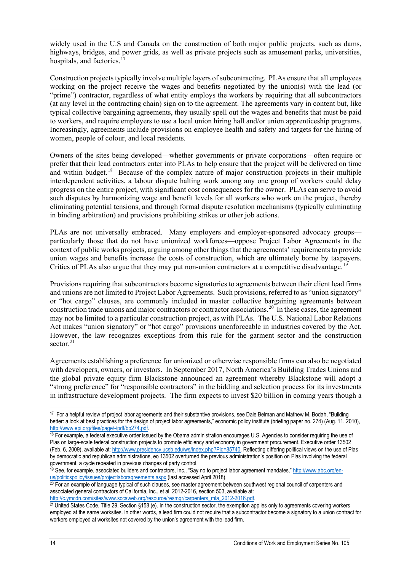widely used in the U.S and Canada on the construction of both major public projects, such as dams, highways, bridges, and power grids, as well as private projects such as amusement parks, universities, hospitals, and factories.<sup>1</sup>

Construction projects typically involve multiple layers of subcontracting. PLAs ensure that all employees working on the project receive the wages and benefits negotiated by the union(s) with the lead (or "prime") contractor, regardless of what entity employs the workers by requiring that all subcontractors (at any level in the contracting chain) sign on to the agreement. The agreements vary in content but, like typical collective bargaining agreements, they usually spell out the wages and benefits that must be paid to workers, and require employers to use a local union hiring hall and/or union apprenticeship programs. Increasingly, agreements include provisions on employee health and safety and targets for the hiring of women, people of colour, and local residents.

Owners of the sites being developed—whether governments or private corporations—often require or prefer that their lead contractors enter into PLAs to help ensure that the project will be delivered on time and within budget.<sup>[18](#page-14-1)</sup> Because of the complex nature of major construction projects in their multiple interdependent activities, a labour dispute halting work among any one group of workers could delay progress on the entire project, with significant cost consequences for the owner. PLAs can serve to avoid such disputes by harmonizing wage and benefit levels for all workers who work on the project, thereby eliminating potential tensions, and through formal dispute resolution mechanisms (typically culminating in binding arbitration) and provisions prohibiting strikes or other job actions.

PLAs are not universally embraced. Many employers and employer-sponsored advocacy groups particularly those that do not have unionized workforces—oppose Project Labor Agreements in the context of public works projects, arguing among other things that the agreements' requirements to provide union wages and benefits increase the costs of construction, which are ultimately borne by taxpayers. Critics of PLAs also argue that they may put non-union contractors at a competitive disadvantage.

Provisions requiring that subcontractors become signatories to agreements between their client lead firms and unions are not limited to Project Labor Agreements. Such provisions, referred to as "union signatory" or "hot cargo" clauses, are commonly included in master collective bargaining agreements between construction trade unions and major contractors or contractor associations.<sup>20</sup> In these cases, the agreement may not be limited to a particular construction project, as with PLAs. The U.S. National Labor Relations Act makes "union signatory" or "hot cargo" provisions unenforceable in industries covered by the Act. However, the law recognizes exceptions from this rule for the garment sector and the construction sector. [21](#page-14-4)

Agreements establishing a preference for unionized or otherwise responsible firms can also be negotiated with developers, owners, or investors. In September 2017, North America's Building Trades Unions and the global private equity firm Blackstone announced an agreement whereby Blackstone will adopt a "strong preference" for "responsible contractors" in the bidding and selection process for its investments in infrastructure development projects. The firm expects to invest \$20 billion in coming years though a

<span id="page-14-3"></span><sup>20</sup> For an example of language typical of such clauses, see master agreement between southwest regional council of carpenters and associated general contractors of California, Inc., et al. 2012-2016, section 503, available at:

<span id="page-14-0"></span> $\overline{a}$ 17 For a helpful review of project labor agreements and their substantive provisions, see Dale Belman and Mathew M. Bodah, "Building better: a look at best practices for the design of project labor agreements," economic policy institute (briefing paper no. 274) (Aug. 11, 2010), [http://www.epi.org/files/page/-/pdf/bp274.pdf.](http://www.epi.org/files/page/-/pdf/bp274.pdf)<br><sup>18</sup> For example, a federal executive order issued by the Obama administration encourages U.S. Agencies to consider requiring the use of

<span id="page-14-1"></span>Plas on large-scale federal construction projects to promote efficiency and economy in government procurement. Executive order 13502 (Feb. 6, 2009), available at[: http://www.presidency.ucsb.edu/ws/index.php?Pid=85740.](http://www.presidency.ucsb.edu/ws/index.php?Pid=85740) Reflecting differing political views on the use of Plas by democratic and republican administrations, eo 13502 overturned the previous administration's position on Plas involving the federal government, a cycle repeated in previous changes of party control.

<span id="page-14-2"></span><sup>&</sup>lt;sup>19</sup> See, for example, associated builders and contractors, Inc., "Say no to project labor agreement mandates," [http://www.abc.org/en](http://www.abc.org/en-us/politicspolicy/issues/projectlaboragreements.aspx)[us/politicspolicy/issues/projectlaboragreements.aspx](http://www.abc.org/en-us/politicspolicy/issues/projectlaboragreements.aspx) (last accessed April 2018).

<span id="page-14-4"></span>[http://c.ymcdn.com/sites/www.sccaweb.org/resource/resmgr/carpenters\\_mla\\_2012-2016.pdf.](http://c.ymcdn.com/sites/www.sccaweb.org/resource/resmgr/carpenters_mla_2012-2016.pdf) 21 United States Code, Title 29, Section §158 (e). In the construction sector, the exemption applies only to agreements covering worker employed at the same worksites. In other words, a lead firm could not require that a subcontractor become a signatory to a union contract for workers employed at worksites not covered by the union's agreement with the lead firm.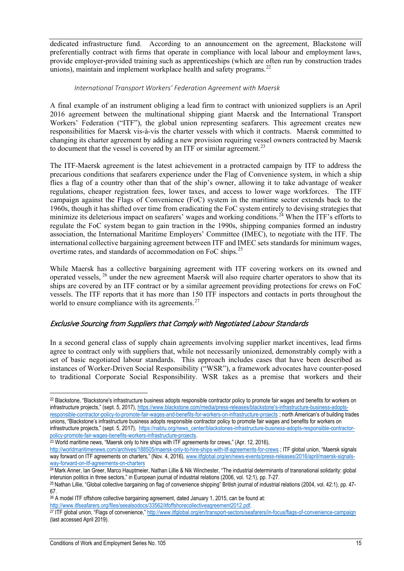dedicated infrastructure fund. According to an announcement on the agreement, Blackstone will preferentially contract with firms that operate in compliance with local labour and employment laws, provide employer-provided training such as apprenticeships (which are often run by construction trades unions), maintain and implement workplace health and safety programs.<sup>[22](#page-15-2)</sup>

#### *International Transport Workers' Federation Agreement with Maersk*

<span id="page-15-0"></span>A final example of an instrument obliging a lead firm to contract with unionized suppliers is an April 2016 agreement between the multinational shipping giant Maersk and the International Transport Workers' Federation ("ITF"), the global union representing seafarers. This agreement creates new responsibilities for Maersk vis-à-vis the charter vessels with which it contracts. Maersk committed to changing its charter agreement by adding a new provision requiring vessel owners contracted by Maersk to document that the vessel is covered by an ITF or similar agreement.<sup>[23](#page-15-3)</sup>

The ITF-Maersk agreement is the latest achievement in a protracted campaign by ITF to address the precarious conditions that seafarers experience under the Flag of Convenience system, in which a ship flies a flag of a country other than that of the ship's owner, allowing it to take advantage of weaker regulations, cheaper registration fees, lower taxes, and access to lower wage workforces. The ITF campaign against the Flags of Convenience (FoC) system in the maritime sector extends back to the 1960s, though it has shifted over time from eradicating the FoC system entirely to devising strategies that minimize its deleterious impact on seafarers' wages and working conditions.<sup>[24](#page-15-4)</sup> When the ITF's efforts to regulate the FoC system began to gain traction in the 1990s, shipping companies formed an industry association, the International Maritime Employers' Committee (IMEC), to negotiate with the ITF. The international collective bargaining agreement between ITF and IMEC sets standards for minimum wages, overtime rates, and standards of accommodation on FoC ships.<sup>[25](#page-15-5)</sup>

While Maersk has a collective bargaining agreement with ITF covering workers on its owned and operated vessels, [26](#page-15-6) under the new agreement Maersk will also require charter operators to show that its ships are covered by an ITF contract or by a similar agreement providing protections for crews on FoC vessels. The ITF reports that it has more than 150 ITF inspectors and contacts in ports throughout the world to ensure compliance with its agreements.<sup>[27](#page-15-7)</sup>

### <span id="page-15-1"></span>Exclusive Sourcing from Suppliers that Comply with Negotiated Labour Standards

In a second general class of supply chain agreements involving supplier market incentives, lead firms agree to contract only with suppliers that, while not necessarily unionized, demonstrably comply with a set of basic negotiated labour standards. This approach includes cases that have been described as instances of Worker-Driven Social Responsibility ("WSR"), a framework advocates have counter-posed to traditional Corporate Social Responsibility. WSR takes as a premise that workers and their

<span id="page-15-4"></span><sup>24</sup> Mark Anner, Ian Greer, Marco Hauptmeier, Nathan Lillie & Nik Winchester, "The industrial determinants of transnational solidarity: global interunion politics in three sectors," in European journal of industrial relations (2006, vol. 12:1), pp. 7-27.

<span id="page-15-6"></span>67.<br><sup>26</sup> A model ITF offshore collective bargaining agreement, dated January 1, 2015, can be found at:<br>http://www.itfseafarers.org/files/seealsodocs/33562/itfoffshorecollectiveagreement2012.pdf.

 $\overline{a}$ 

<span id="page-15-2"></span><sup>22</sup> Blackstone, "Blackstone's infrastructure business adopts responsible contractor policy to promote fair wages and benefits for workers on infrastructure projects," (sept. 5, 2017), [https://www.blackstone.com/media/press-releases/blackstone's-infrastructure-business-adopts](https://www.blackstone.com/media/press-releases/blackstone)[responsible-contractor-policy-to-promote-fair-wages-and-benefits-for-workers-on-infrastructure-projects](https://www.blackstone.com/media/press-releases/blackstone) ; north American's of building trades unions, "Blackstone's infrastructure business adopts responsible contractor policy to promote fair wages and benefits for workers on

infrastructure projects," (sept. 5, 2017), [https://nabtu.org/news\\_center/blackstones-infrastructure-business-adopts-responsible-contractor](https://nabtu.org/news_center/blackstones-infrastructure-business-adopts-responsible-contractor-policy-promote-fair-wages-benefits-workers-infrastructure-projects)[policy-promote-fair-wages-benefits-workers-infrastructure-projects.](https://nabtu.org/news_center/blackstones-infrastructure-business-adopts-responsible-contractor-policy-promote-fair-wages-benefits-workers-infrastructure-projects)<br><sup>23</sup> World maritime news, "Maersk only to hire ships with ITF agreements for crews," (Apr. 12, 2016),

<span id="page-15-3"></span><http://worldmaritimenews.com/archives/188505/maersk-only-to-hire-ships-with-itf-agreements-for-crews> ; ITF global union, "Maersk signals way forward on ITF agreements on charters," (Nov. 4, 2016)[, www.itfglobal.org/en/news-events/press-releases/2016/april/maersk-signals](http://www.itfglobal.org/en/news-events/press-releases/2016/april/maersk-signals-way-forward-on-itf-agreements-on-charters)[way-forward-on-itf-agreements-on-charters](http://www.itfglobal.org/en/news-events/press-releases/2016/april/maersk-signals-way-forward-on-itf-agreements-on-charters)

<span id="page-15-5"></span><sup>&</sup>lt;sup>25</sup> Nathan Lillie, "Global collective bargaining on flag of convenience shipping" British journal of industrial relations (2004, vol. 42:1), pp. 47-

<span id="page-15-7"></span><sup>&</sup>lt;sup>27</sup> ITF global union, "Flags of convenience,"<http://www.itfglobal.org/en/transport-sectors/seafarers/in-focus/flags-of-convenience-campaign> (last accessed April 2019).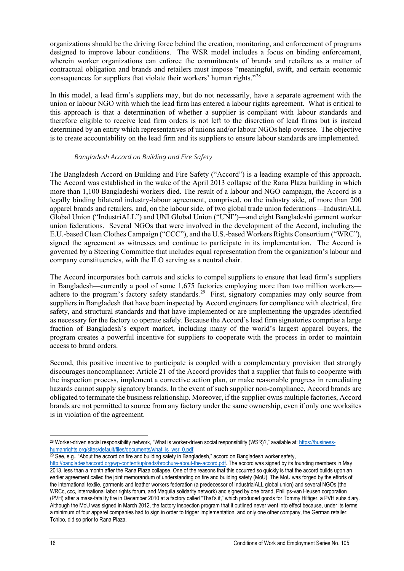organizations should be the driving force behind the creation, monitoring, and enforcement of programs designed to improve labour conditions. The WSR model includes a focus on binding enforcement, wherein worker organizations can enforce the commitments of brands and retailers as a matter of contractual obligation and brands and retailers must impose "meaningful, swift, and certain economic consequences for suppliers that violate their workers' human rights."[28](#page-16-1)

In this model, a lead firm's suppliers may, but do not necessarily, have a separate agreement with the union or labour NGO with which the lead firm has entered a labour rights agreement. What is critical to this approach is that a determination of whether a supplier is compliant with labour standards and therefore eligible to receive lead firm orders is not left to the discretion of lead firms but is instead determined by an entity which representatives of unions and/or labour NGOs help oversee. The objective is to create accountability on the lead firm and its suppliers to ensure labour standards are implemented.

#### *Bangladesh Accord on Building and Fire Safety*

<span id="page-16-0"></span>The Bangladesh Accord on Building and Fire Safety ("Accord") is a leading example of this approach. The Accord was established in the wake of the April 2013 collapse of the Rana Plaza building in which more than 1,100 Bangladeshi workers died. The result of a labour and NGO campaign, the Accord is a legally binding bilateral industry-labour agreement, comprised, on the industry side, of more than 200 apparel brands and retailers, and, on the labour side, of two global trade union federations—IndustriALL Global Union ("IndustriALL") and UNI Global Union ("UNI")—and eight Bangladeshi garment worker union federations. Several NGOs that were involved in the development of the Accord, including the E.U.-based Clean Clothes Campaign ("CCC"), and the U.S.-based Workers Rights Consortium ("WRC"), signed the agreement as witnesses and continue to participate in its implementation. The Accord is governed by a Steering Committee that includes equal representation from the organization's labour and company constituencies, with the ILO serving as a neutral chair.

The Accord incorporates both carrots and sticks to compel suppliers to ensure that lead firm's suppliers in Bangladesh—currently a pool of some 1,675 factories employing more than two million workers adhere to the program's factory safety standards.<sup>29</sup> First, signatory companies may only source from suppliers in Bangladesh that have been inspected by Accord engineers for compliance with electrical, fire safety, and structural standards and that have implemented or are implementing the upgrades identified as necessary for the factory to operate safely. Because the Accord's lead firm signatories comprise a large fraction of Bangladesh's export market, including many of the world's largest apparel buyers, the program creates a powerful incentive for suppliers to cooperate with the process in order to maintain access to brand orders.

Second, this positive incentive to participate is coupled with a complementary provision that strongly discourages noncompliance: Article 21 of the Accord provides that a supplier that fails to cooperate with the inspection process, implement a corrective action plan, or make reasonable progress in remediating hazards cannot supply signatory brands. In the event of such supplier non-compliance, Accord brands are obligated to terminate the business relationship. Moreover, if the supplier owns multiple factories, Accord brands are not permitted to source from any factory under the same ownership, even if only one worksites is in violation of the agreement.

<span id="page-16-2"></span>29 See, e.g., "About the accord on fire and building safety in Bangladesh," accord on Bangladesh worker safety,

<span id="page-16-1"></span> $\overline{a}$ <sup>28</sup> Worker-driven social responsibility network, "What is worker-driven social responsibility (WSR)?," available at: https://business-<br>humanrights.org/sites/default/files/documents/what is wsr 0.pdf.

[http://bangladeshaccord.org/wp-content/uploads/brochure-about-the-accord.pdf.](http://bangladeshaccord.org/wp-content/uploads/brochure-about-the-accord.pdf) The accord was signed by its founding members in May 2013, less than a month after the Rana Plaza collapse. One of the reasons that this occurred so quickly is that the accord builds upon an earlier agreement called the joint memorandum of understanding on fire and building safety (MoU). The MoU was forged by the efforts of the international textile, garments and leather workers federation (a predecessor of IndustrialALL global union) and several NGOs (the WRCc, ccc, international labor rights forum, and Maquila solidarity network) and signed by one brand, Phillips-van Heusen corporation (PVH) after a mass-fatality fire in December 2010 at a factory called "That's it," which produced goods for Tommy Hilfiger, a PVH subsidiary. Although the MoU was signed in March 2012, the factory inspection program that it outlined never went into effect because, under its terms, a minimum of four apparel companies had to sign in order to trigger implementation, and only one other company, the German retailer, Tchibo, did so prior to Rana Plaza.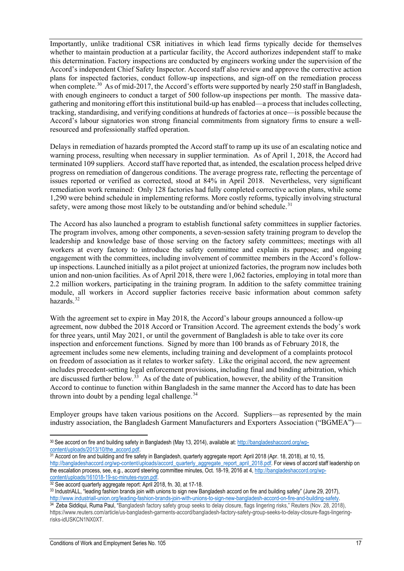Importantly, unlike traditional CSR initiatives in which lead firms typically decide for themselves whether to maintain production at a particular facility, the Accord authorizes independent staff to make this determination. Factory inspections are conducted by engineers working under the supervision of the Accord's independent Chief Safety Inspector. Accord staff also review and approve the corrective action plans for inspected factories, conduct follow-up inspections, and sign-off on the remediation process when complete.<sup>[30](#page-17-0)</sup> As of mid-2017, the Accord's efforts were supported by nearly 250 staff in Bangladesh, with enough engineers to conduct a target of 500 follow-up inspections per month. The massive datagathering and monitoring effort this institutional build-up has enabled—a process that includes collecting, tracking, standardising, and verifying conditions at hundreds of factories at once—is possible because the Accord's labour signatories won strong financial commitments from signatory firms to ensure a wellresourced and professionally staffed operation.

Delays in remediation of hazards prompted the Accord staff to ramp up its use of an escalating notice and warning process, resulting when necessary in supplier termination. As of April 1, 2018, the Accord had terminated 109 suppliers. Accord staff have reported that, as intended, the escalation process helped drive progress on remediation of dangerous conditions. The average progress rate, reflecting the percentage of issues reported or verified as corrected, stood at 84% in April 2018. Nevertheless, very significant remediation work remained: Only 128 factories had fully completed corrective action plans, while some 1,290 were behind schedule in implementing reforms. More costly reforms, typically involving structural safety, were among those most likely to be outstanding and/or behind schedule.<sup>[31](#page-17-1)</sup>

The Accord has also launched a program to establish functional safety committees in supplier factories. The program involves, among other components, a seven-session safety training program to develop the leadership and knowledge base of those serving on the factory safety committees; meetings with all workers at every factory to introduce the safety committee and explain its purpose; and ongoing engagement with the committees, including involvement of committee members in the Accord's followup inspections. Launched initially as a pilot project at unionized factories, the program now includes both union and non-union facilities. As of April 2018, there were 1,062 factories, employing in total more than 2.2 million workers, participating in the training program. In addition to the safety committee training module, all workers in Accord supplier factories receive basic information about common safety hazards. $32$ 

With the agreement set to expire in May 2018, the Accord's labour groups announced a follow-up agreement, now dubbed the 2018 Accord or Transition Accord. The agreement extends the body's work for three years, until May 2021, or until the government of Bangladesh is able to take over its core inspection and enforcement functions. Signed by more than 100 brands as of February 2018, the agreement includes some new elements, including training and development of a complaints protocol on freedom of association as it relates to worker safety. Like the original accord, the new agreement includes precedent-setting legal enforcement provisions, including final and binding arbitration, which are discussed further below.<sup>[33](#page-17-3)</sup> As of the date of publication, however, the ability of the Transition Accord to continue to function within Bangladesh in the same manner the Accord has to date has been thrown into doubt by a pending legal challenge. $34$ 

Employer groups have taken various positions on the Accord. Suppliers—as represented by the main industry association, the Bangladesh Garment Manufacturers and Exporters Association ("BGMEA")—

 $\overline{a}$ 

<span id="page-17-0"></span><sup>30</sup> See accord on fire and building safety in Bangladesh (May 13, 2014), available at: http://bangladeshaccord.org/wp-<br>content/uploads/2013/10/the accord.pdf.

<span id="page-17-1"></span><sup>&</sup>lt;sup>31</sup> Accord on fire and building and fire safety in Bangladesh, quarterly aggregate report: April 2018 (Apr. 18, 2018), at 10, 15, [http://bangladeshaccord.org/wp-content/uploads/accord\\_quarterly\\_aggregate\\_report\\_april\\_2018.pdf.](http://bangladeshaccord.org/wp-content/uploads/accord_quarterly_aggregate_report_april_2018.pdf) For views of accord staff leadership on the escalation process, see, e.g., accord steering committee minutes, Oct. 18-19, 2016 at 4[, http://bangladeshaccord.org/wp](http://bangladeshaccord.org/wp-content/uploads/161018-19-sc-minutes-nyon.pdf)[content/uploads/161018-19-sc-minutes-nyon.pdf.](http://bangladeshaccord.org/wp-content/uploads/161018-19-sc-minutes-nyon.pdf) 32 See accord quarterly aggregate report: April 2018, fn. 30, at 17-18.

<span id="page-17-2"></span>

<span id="page-17-3"></span><sup>33</sup> IndustriALL, "leading fashion brands join with unions to sign new Bangladesh accord on fire and building safety" (June 29, 2017), http://www.industriall-union.org/leading-fashion-brands-join-with-unions-to-sign-new-bangladesh-accord-on-fire-and-building-safety.<br><sup>34</sup> Z[eba Siddiqui,](https://www.reuters.com/journalists/zeba-siddiqui) [Ruma Paul,](https://www.reuters.com/journalists/ruma-paul) "Bangladesh factory safety group seeks to delay closure, fl

<span id="page-17-4"></span>https://www.reuters.com/article/us-bangladesh-garments-accord/bangladesh-factory-safety-group-seeks-to-delay-closure-flags-lingeringrisks-idUSKCN1NX0XT.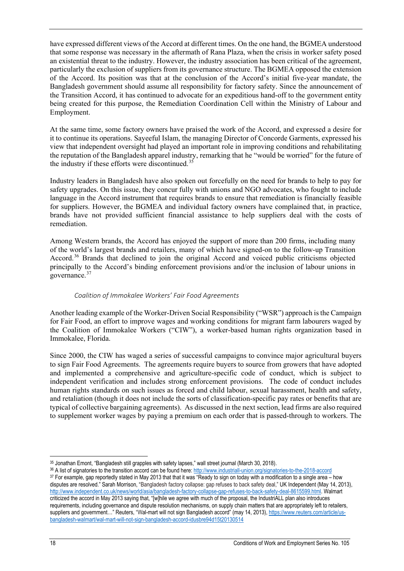have expressed different views of the Accord at different times. On the one hand, the BGMEA understood that some response was necessary in the aftermath of Rana Plaza, when the crisis in worker safety posed an existential threat to the industry. However, the industry association has been critical of the agreement, particularly the exclusion of suppliers from its governance structure. The BGMEA opposed the extension of the Accord. Its position was that at the conclusion of the Accord's initial five-year mandate, the Bangladesh government should assume all responsibility for factory safety. Since the announcement of the Transition Accord, it has continued to advocate for an expeditious hand-off to the government entity being created for this purpose, the Remediation Coordination Cell within the Ministry of Labour and Employment.

At the same time, some factory owners have praised the work of the Accord, and expressed a desire for it to continue its operations. Sayeeful Islam, the managing Director of Concorde Garments, expressed his view that independent oversight had played an important role in improving conditions and rehabilitating the reputation of the Bangladesh apparel industry, remarking that he "would be worried" for the future of the industry if these efforts were discontinued.<sup>35</sup>

Industry leaders in Bangladesh have also spoken out forcefully on the need for brands to help to pay for safety upgrades. On this issue, they concur fully with unions and NGO advocates, who fought to include language in the Accord instrument that requires brands to ensure that remediation is financially feasible for suppliers. However, the BGMEA and individual factory owners have complained that, in practice, brands have not provided sufficient financial assistance to help suppliers deal with the costs of remediation.

Among Western brands, the Accord has enjoyed the support of more than 200 firms, including many of the world's largest brands and retailers, many of which have signed-on to the follow-up Transition Accord.[36](#page-18-2) Brands that declined to join the original Accord and voiced public criticisms objected principally to the Accord's binding enforcement provisions and/or the inclusion of labour unions in governance.<sup>[37](#page-18-3)</sup>

#### *Coalition of Immokalee Workers' Fair Food Agreements*

<span id="page-18-0"></span>Another leading example of the Worker-Driven Social Responsibility ("WSR") approach is the Campaign for Fair Food, an effort to improve wages and working conditions for migrant farm labourers waged by the Coalition of Immokalee Workers ("CIW"), a worker-based human rights organization based in Immokalee, Florida.

Since 2000, the CIW has waged a series of successful campaigns to convince major agricultural buyers to sign Fair Food Agreements. The agreements require buyers to source from growers that have adopted and implemented a comprehensive and agriculture-specific code of conduct, which is subject to independent verification and includes strong enforcement provisions. The code of conduct includes human rights standards on such issues as forced and child labour, sexual harassment, health and safety, and retaliation (though it does not include the sorts of classification-specific pay rates or benefits that are typical of collective bargaining agreements). As discussed in the next section, lead firms are also required to supplement worker wages by paying a premium on each order that is passed-through to workers. The

<span id="page-18-2"></span><sup>36</sup> A list of signatories to the transition accord can be found here[: http://www.industriall-union.org/signatories-to-the-2018-accord](http://www.industriall-union.org/signatories-to-the-2018-accord)

<span id="page-18-1"></span> $\overline{a}$ 35 Jonathan Emont, "Bangladesh still grapples with safety lapses," wall street journal (March 30, 2018).

<span id="page-18-3"></span><sup>37</sup> For example, gap reportedly stated in May 2013 that that it was "Ready to sign on today with a modification to a single area – how disputes are resolved." Sarah Morrison, "Bangladesh factory collapse: gap refuses to back safety deal," UK Independent (May 14, 2013), [http://www.independent.co.uk/news/world/asia/bangladesh-factory-collapse-gap-refuses-to-back-safety-deal-8615599.html.](http://www.independent.co.uk/news/world/asia/bangladesh-factory-collapse-gap-refuses-to-back-safety-deal-8615599.html) Walmart criticized the accord in May 2013 saying that, "[w]hile we agree with much of the proposal, the IndustriALL plan also introduces requirements, including governance and dispute resolution mechanisms, on supply chain matters that are appropriately left to retailers, suppliers and government…" Reuters, "Wal-mart will not sign Bangladesh accord" (may 14, 2013)[, https://www.reuters.com/article/us](https://www.reuters.com/article/us-bangladesh-walmart/wal-mart-will-not-sign-bangladesh-accord-idusbre94d15t20130514)[bangladesh-walmart/wal-mart-will-not-sign-bangladesh-accord-idusbre94d15t20130514](https://www.reuters.com/article/us-bangladesh-walmart/wal-mart-will-not-sign-bangladesh-accord-idusbre94d15t20130514)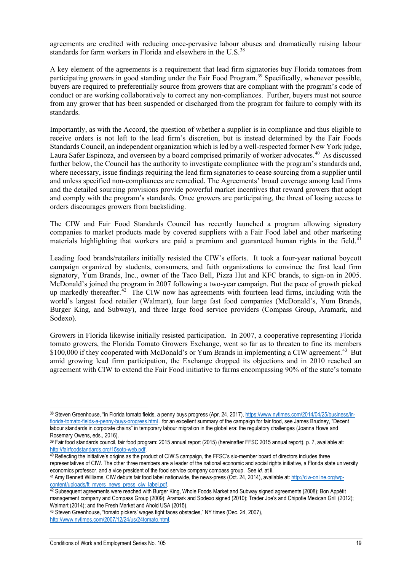agreements are credited with reducing once-pervasive labour abuses and dramatically raising labour standards for farm workers in Florida and elsewhere in the U.S.<sup>[38](#page-19-0)</sup>

A key element of the agreements is a requirement that lead firm signatories buy Florida tomatoes from participating growers in good standing under the Fair Food Program.<sup>[39](#page-19-1)</sup> Specifically, whenever possible, buyers are required to preferentially source from growers that are compliant with the program's code of conduct or are working collaboratively to correct any non-compliances. Further, buyers must not source from any grower that has been suspended or discharged from the program for failure to comply with its standards.

Importantly, as with the Accord, the question of whether a supplier is in compliance and thus eligible to receive orders is not left to the lead firm's discretion, but is instead determined by the Fair Foods Standards Council, an independent organization which is led by a well-respected former New York judge, Laura Safer Espinoza, and overseen by a board comprised primarily of worker advocates.<sup>[40](#page-19-2)</sup> As discussed further below, the Council has the authority to investigate compliance with the program's standards and, where necessary, issue findings requiring the lead firm signatories to cease sourcing from a supplier until and unless specified non-compliances are remedied. The Agreements' broad coverage among lead firms and the detailed sourcing provisions provide powerful market incentives that reward growers that adopt and comply with the program's standards. Once growers are participating, the threat of losing access to orders discourages growers from backsliding.

The CIW and Fair Food Standards Council has recently launched a program allowing signatory companies to market products made by covered suppliers with a Fair Food label and other marketing materials highlighting that workers are paid a premium and guaranteed human rights in the field.<sup>[41](#page-19-3)</sup>

Leading food brands/retailers initially resisted the CIW's efforts. It took a four-year national boycott campaign organized by students, consumers, and faith organizations to convince the first lead firm signatory, Yum Brands, Inc., owner of the Taco Bell, Pizza Hut and KFC brands, to sign-on in 2005. McDonald's joined the program in 2007 following a two-year campaign. But the pace of growth picked up markedly thereafter.<sup>[42](#page-19-4)</sup> The CIW now has agreements with fourteen lead firms, including with the world's largest food retailer (Walmart), four large fast food companies (McDonald's, Yum Brands, Burger King, and Subway), and three large food service providers (Compass Group, Aramark, and Sodexo).

Growers in Florida likewise initially resisted participation. In 2007, a cooperative representing Florida tomato growers, the Florida Tomato Growers Exchange, went so far as to threaten to fine its members \$100,000 if they cooperated with McDonald's or Yum Brands in implementing a CIW agreement.<sup>43</sup> But amid growing lead firm participation, the Exchange dropped its objections and in 2010 reached an agreement with CIW to extend the Fair Food initiative to farms encompassing 90% of the state's tomato

<span id="page-19-0"></span> $\overline{a}$ <sup>38</sup> Steven Greenhouse, "in Florida tomato fields, a penny buys progress (Apr. 24, 2017), [https://www.nytimes.com/2014/04/25/business/in](https://www.nytimes.com/2014/04/25/business/in-florida-tomato-fields-a-penny-buys-progress.html)[florida-tomato-fields-a-penny-buys-progress.html](https://www.nytimes.com/2014/04/25/business/in-florida-tomato-fields-a-penny-buys-progress.html), for an excellent summary of the campaign for fair food, see James Brudney, "Decent labour standards in corporate chains" in temporary labour migration in the global era: the regulatory challenges (Joanna Howe and Rosemary Owens, eds., 2016).

<span id="page-19-1"></span><sup>&</sup>lt;sup>39</sup> Fair food standards council, fair food program: 2015 annual report (2015) (hereinafter FFSC 2015 annual report), p. 7, available at:<br>http://fairfoodstandards.org/15sotp-web.pdf.

<span id="page-19-2"></span><sup>40</sup> Reflecting the initiative's origins as the product of CIW'S campaign, the FFSC's six-member board of directors includes three representatives of CIW. The other three members are a leader of the national economic and social rights initiative, a Florida state university economics professor, and a vice president of the food service company compass group. See *id.* at ii.

<span id="page-19-3"></span><sup>&</sup>lt;sup>41</sup> Amy Bennett Williams, CIW debuts fair food label nationwide, the news-press (Oct. 24, 2014), available at: http://ciw-online.org/wp-<br>content/uploads/ft myers news press ciw label.pdf.

<span id="page-19-4"></span><sup>42</sup> Subsequent agreements were reached with Burger King, Whole Foods Market and Subway signed agreements (2008); Bon Appétit management company and Compass Group (2009); Aramark and Sodexo signed (2010); Trader Joe's and Chipotle Mexican Grill (2012); Walmart (2014); and the Fresh Market and Ahold USA (2015).<br><sup>43</sup> Steven Greenhouse, "tomato pickers' wages fight faces obstacles," NY times (Dec. 24, 2007),

<span id="page-19-5"></span>[http://www.nytimes.com/2007/12/24/us/24tomato.html.](http://www.nytimes.com/2007/12/24/us/24tomato.html)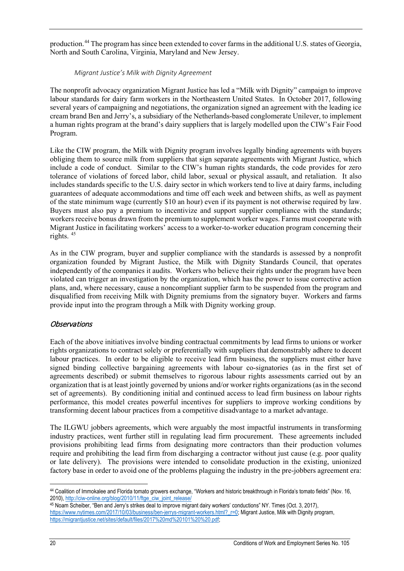<span id="page-20-0"></span>production.[44](#page-20-2) The program has since been extended to cover farms in the additional U.S. states of Georgia, North and South Carolina, Virginia, Maryland and New Jersey.

#### *Migrant Justice's Milk with Dignity Agreement*

The nonprofit advocacy organization Migrant Justice has led a "Milk with Dignity" campaign to improve labour standards for dairy farm workers in the Northeastern United States. In October 2017, following several years of campaigning and negotiations, the organization signed an agreement with the leading ice cream brand Ben and Jerry's, a subsidiary of the Netherlands-based conglomerate Unilever, to implement a human rights program at the brand's dairy suppliers that is largely modelled upon the CIW's Fair Food Program.

Like the CIW program, the Milk with Dignity program involves legally binding agreements with buyers obliging them to source milk from suppliers that sign separate agreements with Migrant Justice, which include a code of conduct. Similar to the CIW's human rights standards, the code provides for zero tolerance of violations of forced labor, child labor, sexual or physical assault, and retaliation. It also includes standards specific to the U.S. dairy sector in which workers tend to live at dairy farms, including guarantees of adequate accommodations and time off each week and between shifts, as well as payment of the state minimum wage (currently \$10 an hour) even if its payment is not otherwise required by law. Buyers must also pay a premium to incentivize and support supplier compliance with the standards; workers receive bonus drawn from the premium to supplement worker wages. Farms must cooperate with Migrant Justice in facilitating workers' access to a worker-to-worker education program concerning their rights  $45$ 

As in the CIW program, buyer and supplier compliance with the standards is assessed by a nonprofit organization founded by Migrant Justice, the Milk with Dignity Standards Council, that operates independently of the companies it audits. Workers who believe their rights under the program have been violated can trigger an investigation by the organization, which has the power to issue corrective action plans, and, where necessary, cause a noncompliant supplier farm to be suspended from the program and disqualified from receiving Milk with Dignity premiums from the signatory buyer. Workers and farms provide input into the program through a Milk with Dignity working group.

### <span id="page-20-1"></span>Observations

Each of the above initiatives involve binding contractual commitments by lead firms to unions or worker rights organizations to contract solely or preferentially with suppliers that demonstrably adhere to decent labour practices. In order to be eligible to receive lead firm business, the suppliers must either have signed binding collective bargaining agreements with labour co-signatories (as in the first set of agreements described) or submit themselves to rigorous labour rights assessments carried out by an organization that is at least jointly governed by unions and/or worker rights organizations (as in the second set of agreements). By conditioning initial and continued access to lead firm business on labour rights performance, this model creates powerful incentives for suppliers to improve working conditions by transforming decent labour practices from a competitive disadvantage to a market advantage.

The ILGWU jobbers agreements, which were arguably the most impactful instruments in transforming industry practices, went further still in regulating lead firm procurement. These agreements included provisions prohibiting lead firms from designating more contractors than their production volumes require and prohibiting the lead firm from discharging a contractor without just cause (e.g. poor quality or late delivery). The provisions were intended to consolidate production in the existing, unionized factory base in order to avoid one of the problems plaguing the industry in the pre-jobbers agreement era:

<span id="page-20-2"></span> $\overline{a}$ <sup>44</sup> Coalition of Immokalee and Florida tomato growers exchange, "Workers and historic breakthrough in Florida's tomato fields" (Nov. 16, 2010), [http://ciw-online.org/blog/2010/11/ftge\\_ciw\\_joint\\_release/](http://ciw-online.org/blog/2010/11/ftge_ciw_joint_release/)

<span id="page-20-3"></span><sup>45</sup> Noam Scheiber, "Ben and Jerry's strikes deal to improve migrant dairy workers' conductions" NY. Times (Oct. 3, 2017), [https://www.nytimes.com/2017/10/03/business/ben-jerrys-migrant-workers.html?\\_r=0;](https://www.nytimes.com/2017/10/03/business/ben-jerrys-migrant-workers.html?_r=0) Migrant Justice, Milk with Dignity program, [https://migrantjustice.net/sites/default/files/2017%20md%20101%20%20.pdf;](https://migrantjustice.net/sites/default/files/2017%20md%20101%20%20.pdf)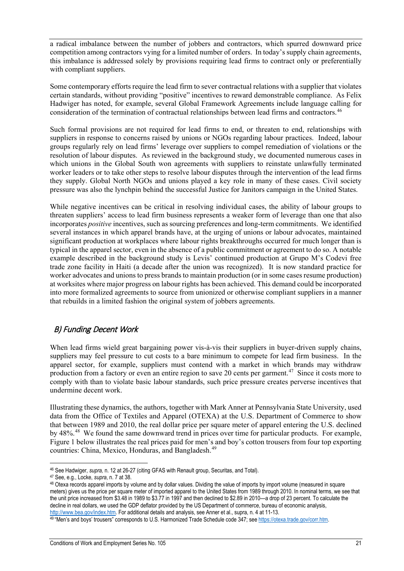a radical imbalance between the number of jobbers and contractors, which spurred downward price competition among contractors vying for a limited number of orders. In today's supply chain agreements, this imbalance is addressed solely by provisions requiring lead firms to contract only or preferentially with compliant suppliers.

Some contemporary efforts require the lead firm to sever contractual relations with a supplier that violates certain standards, without providing "positive" incentives to reward demonstrable compliance. As Felix Hadwiger has noted, for example, several Global Framework Agreements include language calling for consideration of the termination of contractual relationships between lead firms and contractors.<sup>[46](#page-21-1)</sup>

Such formal provisions are not required for lead firms to end, or threaten to end, relationships with suppliers in response to concerns raised by unions or NGOs regarding labour practices. Indeed, labour groups regularly rely on lead firms' leverage over suppliers to compel remediation of violations or the resolution of labour disputes. As reviewed in the background study, we documented numerous cases in which unions in the Global South won agreements with suppliers to reinstate unlawfully terminated worker leaders or to take other steps to resolve labour disputes through the intervention of the lead firms they supply. Global North NGOs and unions played a key role in many of these cases. Civil society pressure was also the lynchpin behind the successful Justice for Janitors campaign in the United States.

While negative incentives can be critical in resolving individual cases, the ability of labour groups to threaten suppliers' access to lead firm business represents a weaker form of leverage than one that also incorporates *positive* incentives, such as sourcing preferences and long-term commitments. We identified several instances in which apparel brands have, at the urging of unions or labour advocates, maintained significant production at workplaces where labour rights breakthroughs occurred for much longer than is typical in the apparel sector, even in the absence of a public commitment or agreement to do so. A notable example described in the background study is Levis' continued production at Grupo M's Codevi free trade zone facility in Haiti (a decade after the union was recognized). It is now standard practice for worker advocates and unions to press brands to maintain production (or in some cases resume production) at worksites where major progress on labour rights has been achieved. This demand could be incorporated into more formalized agreements to source from unionized or otherwise compliant suppliers in a manner that rebuilds in a limited fashion the original system of jobbers agreements.

### <span id="page-21-0"></span>B) Funding Decent Work

When lead firms wield great bargaining power vis-à-vis their suppliers in buyer-driven supply chains, suppliers may feel pressure to cut costs to a bare minimum to compete for lead firm business. In the apparel sector, for example, suppliers must contend with a market in which brands may withdraw production from a factory or even an entire region to save 20 cents per garment.<sup>[47](#page-21-2)</sup> Since it costs more to comply with than to violate basic labour standards, such price pressure creates perverse incentives that undermine decent work.

Illustrating these dynamics, the authors, together with Mark Anner at Pennsylvania State University, used data from the Office of Textiles and Apparel (OTEXA) at the U.S. Department of Commerce to show that between 1989 and 2010, the real dollar price per square meter of apparel entering the U.S. declined by 48%.<sup>48</sup> We found the same downward trend in prices over time for particular products. For example, Figure 1 below illustrates the real prices paid for men's and boy's cotton trousers from four top exporting countries: China, Mexico, Honduras, and Bangladesh.[49](#page-22-0)

 $\overline{a}$ <sup>46</sup> See Hadwiger, *supra,* n. 12 at 26-27 (citing GFAS with Renault group, Securitas, and Total).

<span id="page-21-1"></span><sup>47</sup> See, e.g., Locke, *supra*, n. 7 at 38.

<span id="page-21-3"></span><span id="page-21-2"></span><sup>48</sup> Otexa records apparel imports by volume and by dollar values. Dividing the value of imports by import volume (measured in square meters) gives us the price per square meter of imported apparel to the United States from 1989 through 2010. In nominal terms, we see that the unit price increased from \$3.48 in 1989 to \$3.77 in 1997 and then declined to \$2.89 in 2010—a drop of 23 percent. To calculate the decline in real dollars, we used the GDP deflator provided by the US Department of commerce, bureau of economic analysis,

http://www.bea.gov/index.htm. For additional details and analysis, see Anner et al., supra, n. 4 at 11-13.<br><sup>49 "</sup>Men's and boys' trousers" corresponds to U.S. Harmonized Trade Schedule code 347; see https://otexa.trade.gov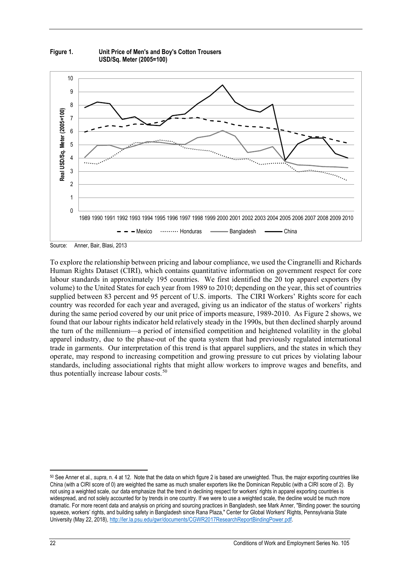

**Figure 1. Unit Price of Men's and Boy's Cotton Trousers USD/Sq. Meter (2005=100)**

Source: Anner, Bair, Blasi, 2013

To explore the relationship between pricing and labour compliance, we used the Cingranelli and Richards Human Rights Dataset (CIRI), which contains quantitative information on government respect for core labour standards in approximately 195 countries. We first identified the 20 top apparel exporters (by volume) to the United States for each year from 1989 to 2010; depending on the year, this set of countries supplied between 83 percent and 95 percent of U.S. imports. The CIRI Workers' Rights score for each country was recorded for each year and averaged, giving us an indicator of the status of workers' rights during the same period covered by our unit price of imports measure, 1989-2010. As Figure 2 shows, we found that our labour rights indicator held relatively steady in the 1990s, but then declined sharply around the turn of the millennium—a period of intensified competition and heightened volatility in the global apparel industry, due to the phase-out of the quota system that had previously regulated international trade in garments. Our interpretation of this trend is that apparel suppliers, and the states in which they operate, may respond to increasing competition and growing pressure to cut prices by violating labour standards, including associational rights that might allow workers to improve wages and benefits, and thus potentially increase labour costs.<sup>50</sup>

 $\overline{a}$ 

<span id="page-22-0"></span><sup>50</sup> See Anner et al., *supra*, n. 4 at 12. Note that the data on which figure 2 is based are unweighted. Thus, the major exporting countries like China (with a CIRI score of 0) are weighted the same as much smaller exporters like the Dominican Republic (with a CIRI score of 2). By not using a weighted scale, our data emphasize that the trend in declining respect for workers' rights in apparel exporting countries is widespread, and not solely accounted for by trends in one country. If we were to use a weighted scale, the decline would be much more dramatic. For more recent data and analysis on pricing and sourcing practices in Bangladesh, see Mark Anner, "Binding power: the sourcing squeeze, workers' rights, and building safety in Bangladesh since Rana Plaza," Center for Global Workers' Rights, Pennsylvania State University (May 22, 2018), [http://ler.la.psu.edu/gwr/documents/CGWR2017ResearchReportBindingPower.pdf.](http://ler.la.psu.edu/gwr/documents/CGWR2017ResearchReportBindingPower.pdf)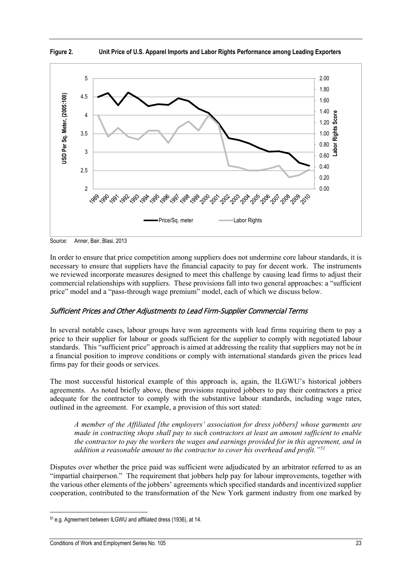



Source: Anner, Bair, Blasi, 2013

In order to ensure that price competition among suppliers does not undermine core labour standards, it is necessary to ensure that suppliers have the financial capacity to pay for decent work. The instruments we reviewed incorporate measures designed to meet this challenge by causing lead firms to adjust their commercial relationships with suppliers. These provisions fall into two general approaches: a "sufficient price" model and a "pass-through wage premium" model, each of which we discuss below.

### <span id="page-23-0"></span>Sufficient Prices and Other Adjustments to Lead Firm-Supplier Commercial Terms

In several notable cases, labour groups have won agreements with lead firms requiring them to pay a price to their supplier for labour or goods sufficient for the supplier to comply with negotiated labour standards. This "sufficient price" approach is aimed at addressing the reality that suppliers may not be in a financial position to improve conditions or comply with international standards given the prices lead firms pay for their goods or services.

The most successful historical example of this approach is, again, the ILGWU's historical jobbers agreements. As noted briefly above, these provisions required jobbers to pay their contractors a price adequate for the contractor to comply with the substantive labour standards, including wage rates, outlined in the agreement. For example, a provision of this sort stated:

*A member of the Affiliated [the employers' association for dress jobbers] whose garments are made in contracting shops shall pay to such contractors at least an amount sufficient to enable the contractor to pay the workers the wages and earnings provided for in this agreement, and in addition a reasonable amount to the contractor to cover his overhead and profit."[51](#page-24-0)*

<span id="page-23-1"></span>Disputes over whether the price paid was sufficient were adjudicated by an arbitrator referred to as an "impartial chairperson." The requirement that jobbers help pay for labour improvements, together with the various other elements of the jobbers' agreements which specified standards and incentivized supplier cooperation, contributed to the transformation of the New York garment industry from one marked by

 $\overline{a}$ <sup>51</sup> e.g. Agreement between ILGWU and affiliated dress (1936), at 14.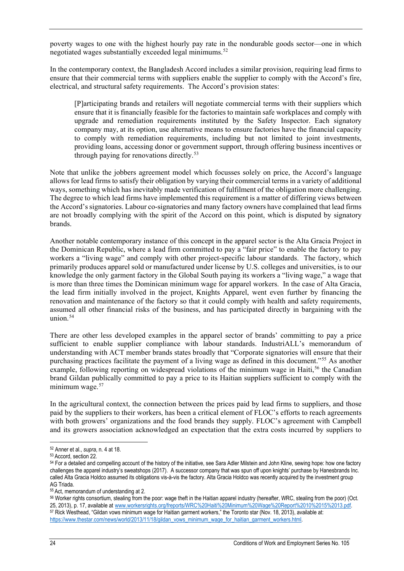poverty wages to one with the highest hourly pay rate in the nondurable goods sector—one in which negotiated wages substantially exceeded legal minimums. [52](#page-25-1)

In the contemporary context, the Bangladesh Accord includes a similar provision, requiring lead firms to ensure that their commercial terms with suppliers enable the supplier to comply with the Accord's fire, electrical, and structural safety requirements.The Accord's provision states:

[P]articipating brands and retailers will negotiate commercial terms with their suppliers which ensure that it is financially feasible for the factories to maintain safe workplaces and comply with upgrade and remediation requirements instituted by the Safety Inspector. Each signatory company may, at its option, use alternative means to ensure factories have the financial capacity to comply with remediation requirements, including but not limited to joint investments, providing loans, accessing donor or government support, through offering business incentives or through paying for renovations directly.<sup>[53](#page-25-2)</sup>

Note that unlike the jobbers agreement model which focusses solely on price, the Accord's language allows for lead firms to satisfy their obligation by varying their commercial terms in a variety of additional ways, something which has inevitably made verification of fulfilment of the obligation more challenging. The degree to which lead firms have implemented this requirement is a matter of differing views between the Accord's signatories. Labour co-signatories and many factory owners have complained that lead firms are not broadly complying with the spirit of the Accord on this point, which is disputed by signatory brands.

Another notable contemporary instance of this concept in the apparel sector is the Alta Gracia Project in the Dominican Republic, where a lead firm committed to pay a "fair price" to enable the factory to pay workers a "living wage" and comply with other project-specific labour standards. The factory, which primarily produces apparel sold or manufactured under license by U.S. colleges and universities, is to our knowledge the only garment factory in the Global South paying its workers a "living wage," a wage that is more than three times the Dominican minimum wage for apparel workers. In the case of Alta Gracia, the lead firm initially involved in the project, Knights Apparel, went even further by financing the renovation and maintenance of the factory so that it could comply with health and safety requirements, assumed all other financial risks of the business, and has participated directly in bargaining with the union $54$ 

There are other less developed examples in the apparel sector of brands' committing to pay a price sufficient to enable supplier compliance with labour standards. IndustriALL's memorandum of understanding with ACT member brands states broadly that "Corporate signatories will ensure that their purchasing practices facilitate the payment of a living wage as defined in this document."[55](#page-25-4) As another example, following reporting on widespread violations of the minimum wage in Haiti,<sup>[56](#page-25-5)</sup> the Canadian brand Gildan publically committed to pay a price to its Haitian suppliers sufficient to comply with the minimum wage.<sup>[57](#page-25-6)</sup>

In the agricultural context, the connection between the prices paid by lead firms to suppliers, and those paid by the suppliers to their workers, has been a critical element of FLOC's efforts to reach agreements with both growers' organizations and the food brands they supply. FLOC's agreement with Campbell and its growers association acknowledged an expectation that the extra costs incurred by suppliers to

 $\overline{a}$ 

<sup>52</sup> Anner et al., *supra*, n. 4 at 18.

<sup>53</sup> Accord, section 22.

<sup>54</sup> For a detailed and compelling account of the history of the initiative, see Sara Adler Milstein and John Kline, sewing hope: how one factory challenges the apparel industry's sweatshops (2017). A successor company that was spun off upon knights' purchase by Hanesbrands Inc. called Alta Gracia Holdco assumed its obligations vis-à-vis the factory. Alta Gracia Holdco was recently acquired by the investment group AG Triada.

<sup>55</sup> Act, memorandum of understanding at 2.

<span id="page-24-0"></span><sup>56</sup> Worker rights consortium, stealing from the poor: wage theft in the Haitian apparel industry (hereafter, WRC, stealing from the poor) (Oct.<br>25, 2013), p. 17, available at www.workersrights.org/freports/WRC%20Haiti%20Min 57 Rick Westhead, "Gildan vows minimum wage for Haitian garment workers," the Toronto star (Nov. 18, 2013), available at: https://www.thestar.com/news/world/2013/11/18/gildan\_vows\_minimum\_wage\_for\_haitian\_garment\_workers.html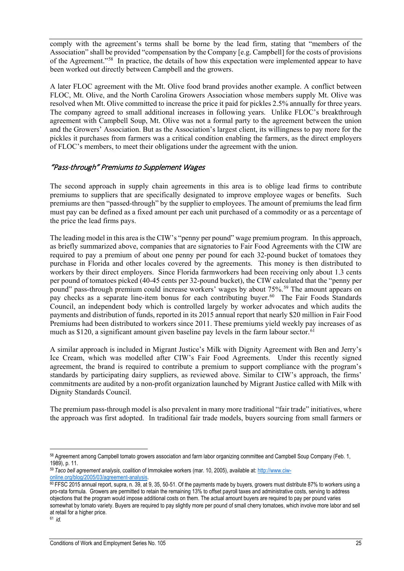comply with the agreement's terms shall be borne by the lead firm, stating that "members of the Association" shall be provided "compensation by the Company [e.g. Campbell] for the costs of provisions of the Agreement."[58](#page-26-1) In practice, the details of how this expectation were implemented appear to have been worked out directly between Campbell and the growers.

A later FLOC agreement with the Mt. Olive food brand provides another example. A conflict between FLOC, Mt. Olive, and the North Carolina Growers Association whose members supply Mt. Olive was resolved when Mt. Olive committed to increase the price it paid for pickles 2.5% annually for three years. The company agreed to small additional increases in following years. Unlike FLOC's breakthrough agreement with Campbell Soup, Mt. Olive was not a formal party to the agreement between the union and the Growers' Association. But as the Association's largest client, its willingness to pay more for the pickles it purchases from farmers was a critical condition enabling the farmers, as the direct employers of FLOC's members, to meet their obligations under the agreement with the union.

#### <span id="page-25-0"></span>"Pass-through" Premiums to Supplement Wages

The second approach in supply chain agreements in this area is to oblige lead firms to contribute premiums to suppliers that are specifically designated to improve employee wages or benefits. Such premiums are then "passed-through" by the supplier to employees. The amount of premiums the lead firm must pay can be defined as a fixed amount per each unit purchased of a commodity or as a percentage of the price the lead firms pays.

The leading model in this area is the CIW's "penny per pound" wage premium program. In this approach, as briefly summarized above, companies that are signatories to Fair Food Agreements with the CIW are required to pay a premium of about one penny per pound for each 32-pound bucket of tomatoes they purchase in Florida and other locales covered by the agreements. This money is then distributed to workers by their direct employers. Since Florida farmworkers had been receiving only about 1.3 cents per pound of tomatoes picked (40-45 cents per 32-pound bucket), the CIW calculated that the "penny per pound" pass-through premium could increase workers' wages by about 75%.<sup>[59](#page-26-2)</sup> The amount appears on pay checks as a separate line-item bonus for each contributing buyer.<sup>60</sup> The Fair Foods Standards Council, an independent body which is controlled largely by worker advocates and which audits the payments and distribution of funds, reported in its 2015 annual report that nearly \$20 million in Fair Food Premiums had been distributed to workers since 2011. These premiums yield weekly pay increases of as much as \$120, a significant amount given baseline pay levels in the farm labour sector. [61](#page-26-4)

A similar approach is included in Migrant Justice's Milk with Dignity Agreement with Ben and Jerry's Ice Cream, which was modelled after CIW's Fair Food Agreements. Under this recently signed agreement, the brand is required to contribute a premium to support compliance with the program's standards by participating dairy suppliers, as reviewed above. Similar to CIW's approach, the firms' commitments are audited by a non-profit organization launched by Migrant Justice called with Milk with Dignity Standards Council.

The premium pass-through model is also prevalent in many more traditional "fair trade" initiatives, where the approach was first adopted. In traditional fair trade models, buyers sourcing from small farmers or

<span id="page-25-3"></span><span id="page-25-2"></span><span id="page-25-1"></span> $\overline{a}$ <sup>58</sup> Agreement among Campbell tomato growers association and farm labor organizing committee and Campbell Soup Company (Feb. 1, 1989), p. 11.

<sup>59</sup> *Taco bell agreement analysis*, coalition of Immokalee workers (mar. 10, 2005), available at: [http://www.ciw-](http://www.ciw-online.org/blog/2005/03/agreement-analysis)

<span id="page-25-5"></span><span id="page-25-4"></span><sup>60</sup> FFSC 2015 annual report, supra, n. 39, at 9, 35, 50-51. Of the payments made by buyers, growers must distribute 87% to workers using a pro-rata formula. Growers are permitted to retain the remaining 13% to offset payroll taxes and administrative costs, serving to address objections that the program would impose additional costs on them. The actual amount buyers are required to pay per pound varies somewhat by tomato variety. Buyers are required to pay slightly more per pound of small cherry tomatoes, which involve more labor and sell at retail for a higher price. 61 *id.*

<span id="page-25-6"></span>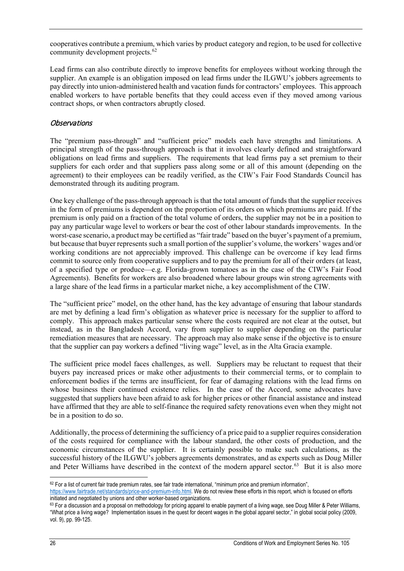cooperatives contribute a premium, which varies by product category and region, to be used for collective community development projects. [62](#page-27-1)

Lead firms can also contribute directly to improve benefits for employees without working through the supplier. An example is an obligation imposed on lead firms under the ILGWU's jobbers agreements to pay directly into union-administered health and vacation fundsfor contractors' employees. This approach enabled workers to have portable benefits that they could access even if they moved among various contract shops, or when contractors abruptly closed.

#### <span id="page-26-0"></span>**Observations**

The "premium pass-through" and "sufficient price" models each have strengths and limitations. A principal strength of the pass-through approach is that it involves clearly defined and straightforward obligations on lead firms and suppliers. The requirements that lead firms pay a set premium to their suppliers for each order and that suppliers pass along some or all of this amount (depending on the agreement) to their employees can be readily verified, as the CIW's Fair Food Standards Council has demonstrated through its auditing program.

One key challenge of the pass-through approach is that the total amount of funds that the supplier receives in the form of premiums is dependent on the proportion of its orders on which premiums are paid. If the premium is only paid on a fraction of the total volume of orders, the supplier may not be in a position to pay any particular wage level to workers or bear the cost of other labour standards improvements. In the worst-case scenario, a product may be certified as "fair trade" based on the buyer's payment of a premium, but because that buyer represents such a small portion of the supplier's volume, the workers' wages and/or working conditions are not appreciably improved. This challenge can be overcome if key lead firms commit to source only from cooperative suppliers and to pay the premium for all of their orders (at least, of a specified type or produce—e.g. Florida-grown tomatoes as in the case of the CIW's Fair Food Agreements). Benefits for workers are also broadened where labour groups win strong agreements with a large share of the lead firms in a particular market niche, a key accomplishment of the CIW.

The "sufficient price" model, on the other hand, has the key advantage of ensuring that labour standards are met by defining a lead firm's obligation as whatever price is necessary for the supplier to afford to comply. This approach makes particular sense where the costs required are not clear at the outset, but instead, as in the Bangladesh Accord, vary from supplier to supplier depending on the particular remediation measures that are necessary. The approach may also make sense if the objective is to ensure that the supplier can pay workers a defined "living wage" level, as in the Alta Gracia example.

The sufficient price model faces challenges, as well. Suppliers may be reluctant to request that their buyers pay increased prices or make other adjustments to their commercial terms, or to complain to enforcement bodies if the terms are insufficient, for fear of damaging relations with the lead firms on whose business their continued existence relies. In the case of the Accord, some advocates have suggested that suppliers have been afraid to ask for higher prices or other financial assistance and instead have affirmed that they are able to self-finance the required safety renovations even when they might not be in a position to do so.

Additionally, the process of determining the sufficiency of a price paid to a supplier requires consideration of the costs required for compliance with the labour standard, the other costs of production, and the economic circumstances of the supplier. It is certainly possible to make such calculations, as the successful history of the ILGWU's jobbers agreements demonstrates, and as experts such as Doug Miller and Peter Williams have described in the context of the modern apparel sector. [63](#page-27-2) But it is also more

<span id="page-26-2"></span><span id="page-26-1"></span> $\overline{a}$ 

<span id="page-26-3"></span> $62$  For a list of current fair trade premium rates, see fair trade international, "minimum price and premium information", [https://www.fairtrade.net/standards/price-and-premium-info.html.](https://www.fairtrade.net/standards/price-and-premium-info.html) We do not review these efforts in this report, which is focused on efforts

<span id="page-26-4"></span>initiated and negotiated by unions and other worker-based organizations. 63 For a discussion and a proposal on methodology for pricing apparel to enable payment of a living wage, see Doug Miller & Peter Williams, "What price a living wage? Implementation issues in the quest for decent wages in the global apparel sector," in global social policy (2009, vol. 9), pp. 99-125.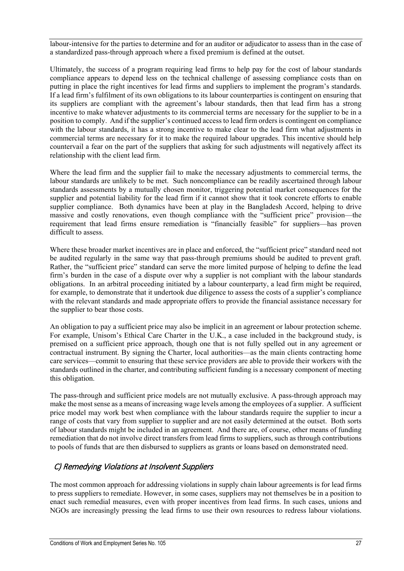labour-intensive for the parties to determine and for an auditor or adjudicator to assess than in the case of a standardized pass-through approach where a fixed premium is defined at the outset.

Ultimately, the success of a program requiring lead firms to help pay for the cost of labour standards compliance appears to depend less on the technical challenge of assessing compliance costs than on putting in place the right incentives for lead firms and suppliers to implement the program's standards. If a lead firm's fulfilment of its own obligations to its labour counterparties is contingent on ensuring that its suppliers are compliant with the agreement's labour standards, then that lead firm has a strong incentive to make whatever adjustments to its commercial terms are necessary for the supplier to be in a position to comply. And if the supplier's continued access to lead firm orders is contingent on compliance with the labour standards, it has a strong incentive to make clear to the lead firm what adjustments in commercial terms are necessary for it to make the required labour upgrades. This incentive should help countervail a fear on the part of the suppliers that asking for such adjustments will negatively affect its relationship with the client lead firm.

Where the lead firm and the supplier fail to make the necessary adjustments to commercial terms, the labour standards are unlikely to be met. Such noncompliance can be readily ascertained through labour standards assessments by a mutually chosen monitor, triggering potential market consequences for the supplier and potential liability for the lead firm if it cannot show that it took concrete efforts to enable supplier compliance. Both dynamics have been at play in the Bangladesh Accord, helping to drive massive and costly renovations, even though compliance with the "sufficient price" provision—the requirement that lead firms ensure remediation is "financially feasible" for suppliers—has proven difficult to assess.

Where these broader market incentives are in place and enforced, the "sufficient price" standard need not be audited regularly in the same way that pass-through premiums should be audited to prevent graft. Rather, the "sufficient price" standard can serve the more limited purpose of helping to define the lead firm's burden in the case of a dispute over why a supplier is not compliant with the labour standards obligations. In an arbitral proceeding initiated by a labour counterparty, a lead firm might be required, for example, to demonstrate that it undertook due diligence to assess the costs of a supplier's compliance with the relevant standards and made appropriate offers to provide the financial assistance necessary for the supplier to bear those costs.

An obligation to pay a sufficient price may also be implicit in an agreement or labour protection scheme. For example, Unisom's Ethical Care Charter in the U.K., a case included in the background study, is premised on a sufficient price approach, though one that is not fully spelled out in any agreement or contractual instrument. By signing the Charter, local authorities—as the main clients contracting home care services—commit to ensuring that these service providers are able to provide their workers with the standards outlined in the charter, and contributing sufficient funding is a necessary component of meeting this obligation.

The pass-through and sufficient price models are not mutually exclusive. A pass-through approach may make the most sense as a means of increasing wage levels among the employees of a supplier. A sufficient price model may work best when compliance with the labour standards require the supplier to incur a range of costs that vary from supplier to supplier and are not easily determined at the outset. Both sorts of labour standards might be included in an agreement. And there are, of course, other means of funding remediation that do not involve direct transfers from lead firms to suppliers, such as through contributions to pools of funds that are then disbursed to suppliers as grants or loans based on demonstrated need.

### <span id="page-27-0"></span>C) Remedying Violations at Insolvent Suppliers

<span id="page-27-2"></span><span id="page-27-1"></span>The most common approach for addressing violations in supply chain labour agreements is for lead firms to press suppliers to remediate. However, in some cases, suppliers may not themselves be in a position to enact such remedial measures, even with proper incentives from lead firms. In such cases, unions and NGOs are increasingly pressing the lead firms to use their own resources to redress labour violations.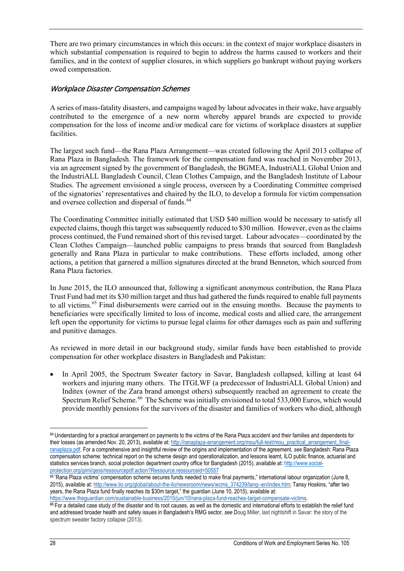There are two primary circumstances in which this occurs: in the context of major workplace disasters in which substantial compensation is required to begin to address the harms caused to workers and their families, and in the context of supplier closures, in which suppliers go bankrupt without paying workers owed compensation.

#### <span id="page-28-0"></span>Workplace Disaster Compensation Schemes

A series of mass-fatality disasters, and campaigns waged by labour advocates in their wake, have arguably contributed to the emergence of a new norm whereby apparel brands are expected to provide compensation for the loss of income and/or medical care for victims of workplace disasters at supplier facilities.

The largest such fund—the Rana Plaza Arrangement—was created following the April 2013 collapse of Rana Plaza in Bangladesh. The framework for the compensation fund was reached in November 2013, via an agreement signed by the government of Bangladesh, the BGMEA, IndustriALL Global Union and the IndustriALL Bangladesh Council, Clean Clothes Campaign, and the Bangladesh Institute of Labour Studies. The agreement envisioned a single process, overseen by a Coordinating Committee comprised of the signatories' representatives and chaired by the ILO, to develop a formula for victim compensation and oversee collection and dispersal of funds. [64](#page-29-1)

The Coordinating Committee initially estimated that USD \$40 million would be necessary to satisfy all expected claims, though this target was subsequently reduced to \$30 million. However, even as the claims process continued, the Fund remained short of this revised target. Labour advocates—coordinated by the Clean Clothes Campaign—launched public campaigns to press brands that sourced from Bangladesh generally and Rana Plaza in particular to make contributions. These efforts included, among other actions, a petition that garnered a million signatures directed at the brand Benneton, which sourced from Rana Plaza factories.

In June 2015, the ILO announced that, following a significant anonymous contribution, the Rana Plaza Trust Fund had met its \$30 million target and thus had gathered the funds required to enable full payments to all victims.<sup>[65](#page-29-2)</sup> Final disbursements were carried out in the ensuing months. Because the payments to beneficiaries were specifically limited to loss of income, medical costs and allied care, the arrangement left open the opportunity for victims to pursue legal claims for other damages such as pain and suffering and punitive damages.

As reviewed in more detail in our background study, similar funds have been established to provide compensation for other workplace disasters in Bangladesh and Pakistan:

• In April 2005, the Spectrum Sweater factory in Savar, Bangladesh collapsed, killing at least 64 workers and injuring many others. The ITGLWF (a predecessor of IndustriALL Global Union) and Inditex (owner of the Zara brand amongst others) subsequently reached an agreement to create the Spectrum Relief Scheme.<sup>[66](#page-29-3)</sup> The Scheme was initially envisioned to total 533,000 Euros, which would provide monthly pensions for the survivors of the disaster and families of workers who died, although

 $\overline{a}$ 

<sup>&</sup>lt;sup>64</sup> Understanding for a practical arrangement on payments to the victims of the Rana Plaza accident and their families and dependents for their losses (as amended Nov. 20, 2013), available at[: http://ranaplaza-arrangement.org/mou/full-text/mou\\_practical\\_arrangement\\_final](http://ranaplaza-arrangement.org/mou/full-text/mou_practical_arrangement_final-ranaplaza.pdf)[ranaplaza.pdf.](http://ranaplaza-arrangement.org/mou/full-text/mou_practical_arrangement_final-ranaplaza.pdf) For a comprehensive and insightful review of the origins and implementation of the agreement, *see* Bangladesh: Rana Plaza compensation scheme: technical report on the scheme design and operationalization, and lessons learnt, ILO public finance, actuarial and statistics services branch, social protection department country office for Bangladesh (2015), available at: [http://www.social](http://www.social-protection.org/gimi/gess/ressourcepdf.action?Ressource.ressourceid=50557)[protection.org/gimi/gess/ressourcepdf.action?Ressource.ressourceid=50557](http://www.social-protection.org/gimi/gess/ressourcepdf.action?Ressource.ressourceid=50557)

<sup>&</sup>lt;sup>65</sup> "Rana Plaza victims' compensation scheme secures funds needed to make final payments," international labour organization (June 8, 2015), available at[: http://www.ilo.org/global/about-the-ilo/newsroom/news/wcms\\_374239/lang--en/index.htm;](http://www.ilo.org/global/about-the-ilo/newsroom/news/wcms_374239/lang--en/index.htm) Tansy Hoskins, "after two years, the Rana Plaza fund finally reaches its \$30m target," the guardian (June 10, 2015), available at:

https://www.theguardian.com/sustainable-business/2015/jun/10/rana-plaza-fund-reaches-target-compensate-victims.<br><sup>66</sup> For a detailed case study of the disaster and its root causes, as well as the domestic and international and addressed broader health and safety issues in Bangladesh's RMG sector, *see* Doug Miller, last nightshift in Savar: the story of the spectrum sweater factory collapse (2013).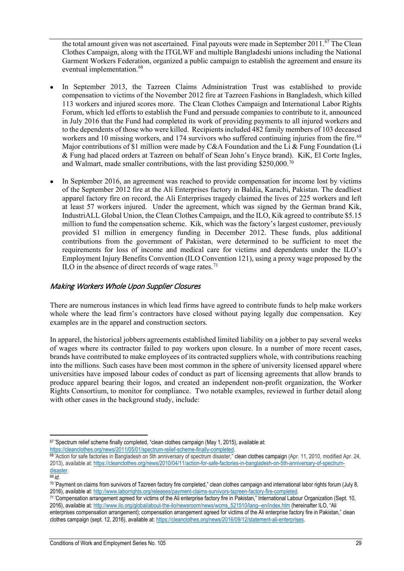the total amount given was not ascertained. Final payouts were made in September 2011.<sup>[67](#page-30-1)</sup> The Clean Clothes Campaign, along with the ITGLWF and multiple Bangladeshi unions including the National Garment Workers Federation, organized a public campaign to establish the agreement and ensure its eventual implementation.<sup>[68](#page-30-2)</sup>

- In September 2013, the Tazreen Claims Administration Trust was established to provide compensation to victims of the November 2012 fire at Tazreen Fashions in Bangladesh, which killed 113 workers and injured scores more. The Clean Clothes Campaign and International Labor Rights Forum, which led efforts to establish the Fund and persuade companies to contribute to it, announced in July 2016 that the Fund had completed its work of providing payments to all injured workers and to the dependents of those who were killed. Recipients included 482 family members of 103 deceased workers and 10 missing workers, and 174 survivors who suffered continuing injuries from the fire.<sup>69</sup> Major contributions of \$1 million were made by  $C&A$  Foundation and the Li  $&F$ ung Foundation (Li & Fung had placed orders at Tazreen on behalf of Sean John's Enyce brand). KiK, El Corte Ingles, and Walmart, made smaller contributions, with the last providing \$250,000.[70](#page-30-4)
- In September 2016, an agreement was reached to provide compensation for income lost by victims of the September 2012 fire at the Ali Enterprises factory in Baldia, Karachi, Pakistan. The deadliest apparel factory fire on record, the Ali Enterprises tragedy claimed the lives of 225 workers and left at least 57 workers injured. Under the agreement, which was signed by the German brand Kik, IndustriALL Global Union, the Clean Clothes Campaign, and the ILO, Kik agreed to contribute \$5.15 million to fund the compensation scheme. Kik, which was the factory's largest customer, previously provided \$1 million in emergency funding in December 2012. These funds, plus additional contributions from the government of Pakistan, were determined to be sufficient to meet the requirements for loss of income and medical care for victims and dependents under the ILO's Employment Injury Benefits Convention (ILO Convention 121), using a proxy wage proposed by the ILO in the absence of direct records of wage rates.<sup>[71](#page-30-5)</sup>

### <span id="page-29-0"></span>Making Workers Whole Upon Supplier Closures

There are numerous instances in which lead firms have agreed to contribute funds to help make workers whole where the lead firm's contractors have closed without paying legally due compensation. Key examples are in the apparel and construction sectors.

In apparel, the historical jobbers agreements established limited liability on a jobber to pay several weeks of wages where its contractor failed to pay workers upon closure. In a number of more recent cases, brands have contributed to make employees of its contracted suppliers whole, with contributions reaching into the millions. Such cases have been most common in the sphere of university licensed apparel where universities have imposed labour codes of conduct as part of licensing agreements that allow brands to produce apparel bearing their logos, and created an independent non-profit organization, the Worker Rights Consortium, to monitor for compliance. Two notable examples, reviewed in further detail along with other cases in the background study, include:

<span id="page-29-1"></span> $\overline{a}$ 67 "Spectrum relief scheme finally completed, "clean clothes campaign (May 1, 2015), available at:

<sup>&</sup>lt;u>https://cleanclothes.org/news/2011/05/01/spectrum-relief-scheme-finally-completed</u>.<br><sup>68 "</sup>Action for safe factories in Bangladesh on 5th anniversary of spectrum disaster," clean clothes campaign (Apr. 11, 2010, modified A 2013), available at: [https://cleanclothes.org/news/2010/04/11/action-for-safe-factories-in-bangladesh-on-5th-anniversary-of-spectrum](https://cleanclothes.org/news/2010/04/11/action-for-safe-factories-in-bangladesh-on-5th-anniversary-of-spectrum-disaster)[disaster.](https://cleanclothes.org/news/2010/04/11/action-for-safe-factories-in-bangladesh-on-5th-anniversary-of-spectrum-disaster) 69 *id.*

<span id="page-29-2"></span>

<sup>&</sup>lt;sup>70</sup> "Payment on claims from survivors of Tazreen factory fire completed," clean clothes campaign and international labor rights forum (July 8,

<span id="page-29-3"></span><sup>2016),</sup> available at: <u>http://www.laborrights.org/releases/payment-claims-survivors-tazreen-factory-fire-completed.</u><br><sup>71</sup> "Compensation arrangement agreed for victims of the Ali enterprise factory fire in Pakistan," Interna 2016), available at: [http://www.ilo.org/global/about-the-ilo/newsroom/news/wcms\\_521510/lang--en/index.htm](http://www.ilo.org/global/about-the-ilo/newsroom/news/wcms_521510/lang--en/index.htm) (hereinafter ILO, "Ali enterprises compensation arrangement); compensation arrangement agreed for victims of the Ali enterprise factory fire in Pakistan," clean clothes campaign (sept. 12, 2016), available at[: https://cleanclothes.org/news/2016/09/12/statement-ali-enterprises.](https://cleanclothes.org/news/2016/09/12/statement-ali-enterprises)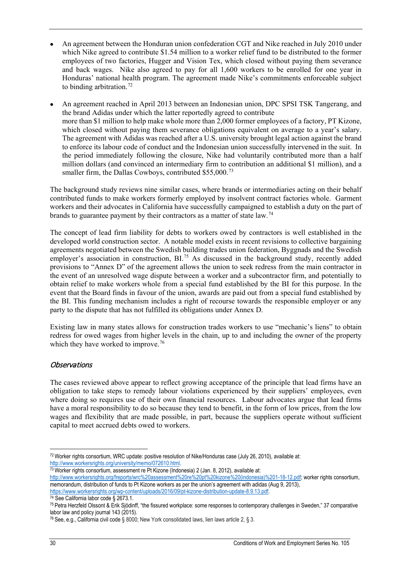- An agreement between the Honduran union confederation CGT and Nike reached in July 2010 under which Nike agreed to contribute \$1.54 million to a worker relief fund to be distributed to the former employees of two factories, Hugger and Vision Tex, which closed without paying them severance and back wages. Nike also agreed to pay for all 1,600 workers to be enrolled for one year in Honduras' national health program. The agreement made Nike's commitments enforceable subject to binding arbitration.<sup>[72](#page-31-3)</sup>
- An agreement reached in April 2013 between an Indonesian union, DPC SPSI TSK Tangerang, and the brand Adidas under which the latter reportedly agreed to contribute more than \$1 million to help make whole more than 2,000 former employees of a factory, PT Kizone, which closed without paying them severance obligations equivalent on average to a year's salary. The agreement with Adidas was reached after a U.S. university brought legal action against the brand to enforce its labour code of conduct and the Indonesian union successfully intervened in the suit. In the period immediately following the closure, Nike had voluntarily contributed more than a half million dollars (and convinced an intermediary firm to contribution an additional \$1 million), and a smaller firm, the Dallas Cowboys, contributed \$55,000.<sup>[73](#page-31-4)</sup>

The background study reviews nine similar cases, where brands or intermediaries acting on their behalf contributed funds to make workers formerly employed by insolvent contract factories whole. Garment workers and their advocates in California have successfully campaigned to establish a duty on the part of brands to guarantee payment by their contractors as a matter of state law.<sup>[74](#page-31-5)</sup>

The concept of lead firm liability for debts to workers owed by contractors is well established in the developed world construction sector. A notable model exists in recent revisions to collective bargaining agreements negotiated between the Swedish building trades union federation, Byggnads and the Swedish employer's association in construction, BL<sup>[75](#page-31-6)</sup> As discussed in the background study, recently added provisions to "Annex D" of the agreement allows the union to seek redress from the main contractor in the event of an unresolved wage dispute between a worker and a subcontractor firm, and potentially to obtain relief to make workers whole from a special fund established by the BI for this purpose. In the event that the Board finds in favour of the union, awards are paid out from a special fund established by the BI. This funding mechanism includes a right of recourse towards the responsible employer or any party to the dispute that has not fulfilled its obligations under Annex D.

Existing law in many states allows for construction trades workers to use "mechanic's liens" to obtain redress for owed wages from higher levels in the chain, up to and including the owner of the property which they have worked to improve.<sup>76</sup>

### <span id="page-30-0"></span>**Observations**

The cases reviewed above appear to reflect growing acceptance of the principle that lead firms have an obligation to take steps to remedy labour violations experienced by their suppliers' employees, even where doing so requires use of their own financial resources. Labour advocates argue that lead firms have a moral responsibility to do so because they tend to benefit, in the form of low prices, from the low wages and flexibility that are made possible, in part, because the suppliers operate without sufficient capital to meet accrued debts owed to workers.

<span id="page-30-2"></span><span id="page-30-1"></span> $\overline{a}$ <sup>72</sup> Worker rights consortium, WRC update: positive resolution of Nike/Honduras case (July 26, 2010), available at: http://www.workersrights.org/university/memo/072610.html.<br><sup>73</sup> Worker rights consortium, assessment re Pt Kizone (Indonesia) 2 (Jan. 8, 2012), available at:

[http://www.workersrights.org/freports/wrc%20assessment%20re%20pt%20kizone%20\(indonesia\)%201-18-12.pdf;](http://www.workersrights.org/freports/wrc%20assessment%20re%20pt%20kizone%20(indonesia)%201-18-12.pdf) worker rights consortium,

<span id="page-30-4"></span><span id="page-30-3"></span>memorandum, distribution of funds to Pt Kizone workers as per the union's agreement with adidas (Aug 9, 2013), https://www.workersrights.org/wp-content/uploads/2016/09/pt-kizone-distribution-update-8.9.13.pdf.<br><sup>74</sup> See California labor code § 2673.1.

<span id="page-30-5"></span>

<sup>75</sup> Petra Herzfeld Olssont & Erik Sjödinff, "the fissured workplace: some responses to contemporary challenges in Sweden," 37 comparative labor law and policy journal 143 (2015).

<sup>76</sup> See, e.g., California civil code § 8000; New York consolidated laws, lien laws article 2, § 3.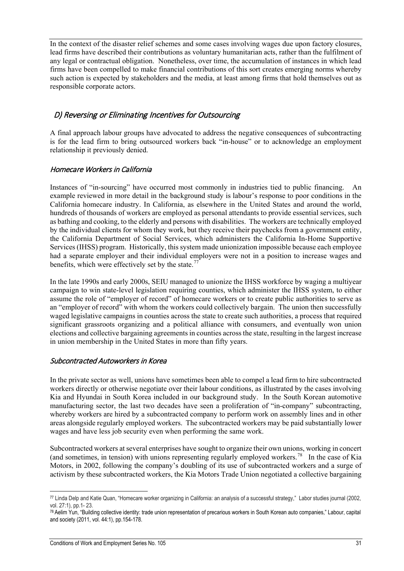In the context of the disaster relief schemes and some cases involving wages due upon factory closures, lead firms have described their contributions as voluntary humanitarian acts, rather than the fulfilment of any legal or contractual obligation. Nonetheless, over time, the accumulation of instances in which lead firms have been compelled to make financial contributions of this sort creates emerging norms whereby such action is expected by stakeholders and the media, at least among firms that hold themselves out as responsible corporate actors.

## <span id="page-31-0"></span>D) Reversing or Eliminating Incentives for Outsourcing

A final approach labour groups have advocated to address the negative consequences of subcontracting is for the lead firm to bring outsourced workers back "in-house" or to acknowledge an employment relationship it previously denied.

### <span id="page-31-1"></span>Homecare Workers in California

Instances of "in-sourcing" have occurred most commonly in industries tied to public financing. An example reviewed in more detail in the background study is labour's response to poor conditions in the California homecare industry. In California, as elsewhere in the United States and around the world, hundreds of thousands of workers are employed as personal attendants to provide essential services, such as bathing and cooking, to the elderly and persons with disabilities. The workers are technically employed by the individual clients for whom they work, but they receive their paychecks from a government entity, the California Department of Social Services, which administers the California In-Home Supportive Services (IHSS) program. Historically, this system made unionization impossible because each employee had a separate employer and their individual employers were not in a position to increase wages and benefits, which were effectively set by the state.<sup>77</sup>

In the late 1990s and early 2000s, SEIU managed to unionize the IHSS workforce by waging a multiyear campaign to win state-level legislation requiring counties, which administer the IHSS system, to either assume the role of "employer of record" of homecare workers or to create public authorities to serve as an "employer of record" with whom the workers could collectively bargain. The union then successfully waged legislative campaigns in counties across the state to create such authorities, a process that required significant grassroots organizing and a political alliance with consumers, and eventually won union elections and collective bargaining agreements in counties across the state, resulting in the largest increase in union membership in the United States in more than fifty years.

#### <span id="page-31-2"></span>Subcontracted Autoworkers in Korea

In the private sector as well, unions have sometimes been able to compel a lead firm to hire subcontracted workers directly or otherwise negotiate over their labour conditions, as illustrated by the cases involving Kia and Hyundai in South Korea included in our background study. In the South Korean automotive manufacturing sector, the last two decades have seen a proliferation of "in-company" subcontracting, whereby workers are hired by a subcontracted company to perform work on assembly lines and in other areas alongside regularly employed workers. The subcontracted workers may be paid substantially lower wages and have less job security even when performing the same work.

<span id="page-31-3"></span>Subcontracted workers at several enterprises have sought to organize their own unions, working in concert (and sometimes, in tension) with unions representing regularly employed workers.[78](#page-32-4) In the case of Kia Motors, in 2002, following the company's doubling of its use of subcontracted workers and a surge of activism by these subcontracted workers, the Kia Motors Trade Union negotiated a collective bargaining

<span id="page-31-5"></span><span id="page-31-4"></span> $\overline{a}$ <sup>77</sup> Linda Delp and Katie Quan, "Homecare worker organizing in California: an analysis of a successful strategy," Labor studies journal (2002, vol. 27:1), pp.1- 23.

<span id="page-31-7"></span><span id="page-31-6"></span><sup>78</sup> Aelim Yun, "Building collective identity: trade union representation of precarious workers in South Korean auto companies," Labour, capital and society (2011, vol. 44:1), pp.154-178.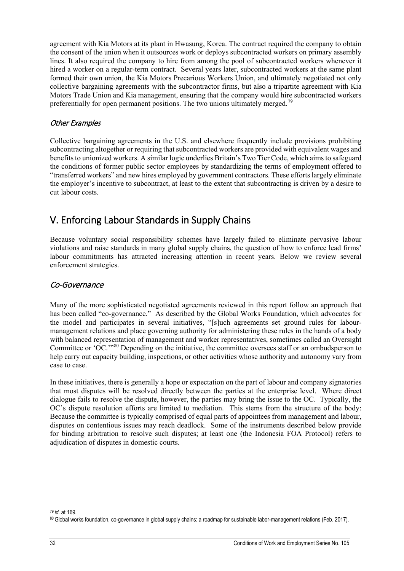agreement with Kia Motors at its plant in Hwasung, Korea. The contract required the company to obtain the consent of the union when it outsources work or deploys subcontracted workers on primary assembly lines. It also required the company to hire from among the pool of subcontracted workers whenever it hired a worker on a regular-term contract. Several years later, subcontracted workers at the same plant formed their own union, the Kia Motors Precarious Workers Union, and ultimately negotiated not only collective bargaining agreements with the subcontractor firms, but also a tripartite agreement with Kia Motors Trade Union and Kia management, ensuring that the company would hire subcontracted workers preferentially for open permanent positions. The two unions ultimately merged.<sup>[79](#page-33-0)</sup>

#### <span id="page-32-0"></span>Other Examples

Collective bargaining agreements in the U.S. and elsewhere frequently include provisions prohibiting subcontracting altogether or requiring that subcontracted workers are provided with equivalent wages and benefits to unionized workers. A similar logic underlies Britain's Two Tier Code, which aims to safeguard the conditions of former public sector employees by standardizing the terms of employment offered to "transferred workers" and new hires employed by government contractors. These efforts largely eliminate the employer's incentive to subcontract, at least to the extent that subcontracting is driven by a desire to cut labour costs.

## <span id="page-32-1"></span>V. Enforcing Labour Standards in Supply Chains

Because voluntary social responsibility schemes have largely failed to eliminate pervasive labour violations and raise standards in many global supply chains, the question of how to enforce lead firms' labour commitments has attracted increasing attention in recent years. Below we review several enforcement strategies.

### <span id="page-32-2"></span>Co-Governance

Many of the more sophisticated negotiated agreements reviewed in this report follow an approach that has been called "co-governance." As described by the Global Works Foundation, which advocates for the model and participates in several initiatives, "[s]uch agreements set ground rules for labourmanagement relations and place governing authority for administering these rules in the hands of a body with balanced representation of management and worker representatives, sometimes called an Oversight Committee or 'OC.'"[80](#page-33-1) Depending on the initiative, the committee oversees staff or an ombudsperson to help carry out capacity building, inspections, or other activities whose authority and autonomy vary from case to case.

In these initiatives, there is generally a hope or expectation on the part of labour and company signatories that most disputes will be resolved directly between the parties at the enterprise level. Where direct dialogue fails to resolve the dispute, however, the parties may bring the issue to the OC. Typically, the OC's dispute resolution efforts are limited to mediation. This stems from the structure of the body: Because the committee is typically comprised of equal parts of appointees from management and labour, disputes on contentious issues may reach deadlock. Some of the instruments described below provide for binding arbitration to resolve such disputes; at least one (the Indonesia FOA Protocol) refers to adjudication of disputes in domestic courts.

<span id="page-32-3"></span> $\overline{a}$ <sup>79</sup> *id.* at 169.

<span id="page-32-4"></span><sup>80</sup> Global works foundation, co-governance in global supply chains: a roadmap for sustainable labor-management relations (Feb. 2017).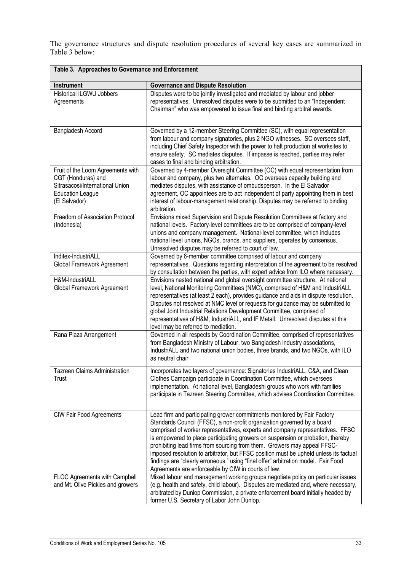The governance structures and dispute resolution procedures of several key cases are summarized in Table 3 below:

<span id="page-33-1"></span><span id="page-33-0"></span>

| Table 3. Approaches to Governance and Enforcement                                                                                      |                                                                                                                                                                                                                                                                                                                                                                                                                                                                                                                                                                                                                                            |  |
|----------------------------------------------------------------------------------------------------------------------------------------|--------------------------------------------------------------------------------------------------------------------------------------------------------------------------------------------------------------------------------------------------------------------------------------------------------------------------------------------------------------------------------------------------------------------------------------------------------------------------------------------------------------------------------------------------------------------------------------------------------------------------------------------|--|
| <b>Instrument</b>                                                                                                                      | <b>Governance and Dispute Resolution</b>                                                                                                                                                                                                                                                                                                                                                                                                                                                                                                                                                                                                   |  |
| <b>Historical ILGWU Jobbers</b><br>Agreements                                                                                          | Disputes were to be jointly investigated and mediated by labour and jobber<br>representatives. Unresolved disputes were to be submitted to an "Independent<br>Chairman" who was empowered to issue final and binding arbitral awards.                                                                                                                                                                                                                                                                                                                                                                                                      |  |
| Bangladesh Accord                                                                                                                      | Governed by a 12-member Steering Committee (SC), with equal representation<br>from labour and company signatories, plus 2 NGO witnesses. SC oversees staff,<br>including Chief Safety Inspector with the power to halt production at worksites to<br>ensure safety. SC mediates disputes. If impasse is reached, parties may refer<br>cases to final and binding arbitration.                                                                                                                                                                                                                                                              |  |
| Fruit of the Loom Agreements with<br>CGT (Honduras) and<br>Sitrasacosi/International Union<br><b>Education League</b><br>(El Salvador) | Governed by 4-member Oversight Committee (OC) with equal representation from<br>labour and company, plus two alternates. OC oversees capacity building and<br>mediates disputes, with assistance of ombudsperson. In the El Salvador<br>agreement, OC appointees are to act independent of party appointing them in best<br>interest of labour-management relationship. Disputes may be referred to binding<br>arbitration.                                                                                                                                                                                                                |  |
| Freedom of Association Protocol<br>(Indonesia)                                                                                         | Envisions mixed Supervision and Dispute Resolution Committees at factory and<br>national levels. Factory-level committees are to be comprised of company-level<br>unions and company management. National-level committee, which includes<br>national level unions, NGOs, brands, and suppliers, operates by consensus.<br>Unresolved disputes may be referred to court of law.                                                                                                                                                                                                                                                            |  |
| Inditex-IndustriALL<br>Global Framework Agreement                                                                                      | Governed by 6-member committee comprised of labour and company<br>representatives. Questions regarding interpretation of the agreement to be resolved<br>by consultation between the parties, with expert advice from ILO where necessary.                                                                                                                                                                                                                                                                                                                                                                                                 |  |
| H&M-IndustriALL<br>Global Framework Agreement                                                                                          | Envisions nested national and global oversight committee structure. At national<br>level, National Monitoring Committees (NMC), comprised of H&M and IndustriALL<br>representatives (at least 2 each), provides guidance and aids in dispute resolution.<br>Disputes not resolved at NMC level or requests for guidance may be submitted to<br>global Joint Industrial Relations Development Committee, comprised of<br>representatives of H&M, IndustriALL, and IF Metall. Unresolved disputes at this<br>level may be referred to mediation.                                                                                             |  |
| Rana Plaza Arrangement                                                                                                                 | Governed in all respects by Coordination Committee, comprised of representatives<br>from Bangladesh Ministry of Labour, two Bangladesh industry associations,<br>IndustriALL and two national union bodies, three brands, and two NGOs, with ILO<br>as neutral chair                                                                                                                                                                                                                                                                                                                                                                       |  |
| Tazreen Claims Administration<br>Trust                                                                                                 | Incorporates two layers of governance: Signatories IndustriALL, C&A, and Clean<br>Clothes Campaign participate in Coordination Committee, which oversees<br>implementation. At national level, Bangladeshi groups who work with families<br>participate in Tazreen Steering Committee, which advises Coordination Committee.                                                                                                                                                                                                                                                                                                               |  |
| <b>CIW Fair Food Agreements</b>                                                                                                        | Lead firm and participating grower commitments monitored by Fair Factory<br>Standards Council (FFSC), a non-profit organization governed by a board<br>comprised of worker representatives, experts and company representatives. FFSC<br>is empowered to place participating growers on suspension or probation, thereby<br>prohibiting lead firms from sourcing from them. Growers may appeal FFSC-<br>imposed resolution to arbitrator, but FFSC position must be upheld unless its factual<br>findings are "clearly erroneous," using "final offer" arbitration model. Fair Food<br>Agreements are enforceable by CIW in courts of law. |  |
| FLOC Agreements with Campbell<br>and Mt. Olive Pickles and growers                                                                     | Mixed labour and management working groups negotiate policy on particular issues<br>(e.g. health and safety, child labour). Disputes are mediated and, where necessary,<br>arbitrated by Dunlop Commission, a private enforcement board initially headed by<br>former U.S. Secretary of Labor John Dunlop.                                                                                                                                                                                                                                                                                                                                 |  |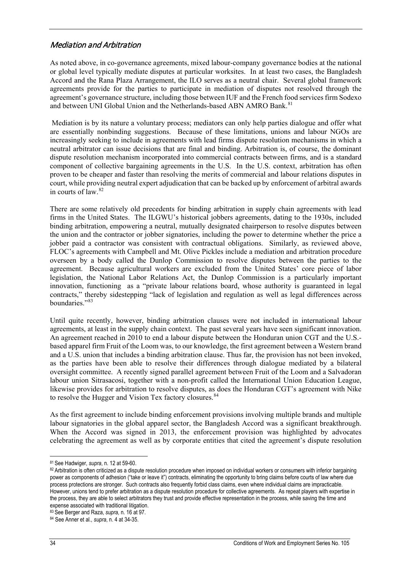### <span id="page-34-0"></span>Mediation and Arbitration

As noted above, in co-governance agreements, mixed labour-company governance bodies at the national or global level typically mediate disputes at particular worksites. In at least two cases, the Bangladesh Accord and the Rana Plaza Arrangement, the ILO serves as a neutral chair. Several global framework agreements provide for the parties to participate in mediation of disputes not resolved through the agreement's governance structure, including those between IUF and the French food services firm Sodexo and between UNI Global Union and the Netherlands-based ABN AMRO Bank.<sup>[81](#page-35-0)</sup>

Mediation is by its nature a voluntary process; mediators can only help parties dialogue and offer what are essentially nonbinding suggestions. Because of these limitations, unions and labour NGOs are increasingly seeking to include in agreements with lead firms dispute resolution mechanisms in which a neutral arbitrator can issue decisions that are final and binding. Arbitration is, of course, the dominant dispute resolution mechanism incorporated into commercial contracts between firms, and is a standard component of collective bargaining agreements in the U.S. In the U.S. context, arbitration has often proven to be cheaper and faster than resolving the merits of commercial and labour relations disputes in court, while providing neutral expert adjudication that can be backed up by enforcement of arbitral awards in courts of law. [82](#page-35-1)

There are some relatively old precedents for binding arbitration in supply chain agreements with lead firms in the United States. The ILGWU's historical jobbers agreements, dating to the 1930s, included binding arbitration, empowering a neutral, mutually designated chairperson to resolve disputes between the union and the contractor or jobber signatories, including the power to determine whether the price a jobber paid a contractor was consistent with contractual obligations. Similarly, as reviewed above, FLOC's agreements with Campbell and Mt. Olive Pickles include a mediation and arbitration procedure overseen by a body called the Dunlop Commission to resolve disputes between the parties to the agreement. Because agricultural workers are excluded from the United States' core piece of labor legislation, the National Labor Relations Act, the Dunlop Commission is a particularly important innovation, functioning as a "private labour relations board, whose authority is guaranteed in legal contracts," thereby sidestepping "lack of legislation and regulation as well as legal differences across boundaries<sup>"[83](#page-35-2)</sup>

Until quite recently, however, binding arbitration clauses were not included in international labour agreements, at least in the supply chain context. The past several years have seen significant innovation. An agreement reached in 2010 to end a labour dispute between the Honduran union CGT and the U.S. based apparel firm Fruit of the Loom was, to our knowledge, the first agreement between a Western brand and a U.S. union that includes a binding arbitration clause. Thus far, the provision has not been invoked, as the parties have been able to resolve their differences through dialogue mediated by a bilateral oversight committee. A recently signed parallel agreement between Fruit of the Loom and a Salvadoran labour union Sitrasacosi, together with a non-profit called the International Union Education League, likewise provides for arbitration to resolve disputes, as does the Honduran CGT's agreement with Nike to resolve the Hugger and Vision Tex factory closures.<sup>[84](#page-35-3)</sup>

As the first agreement to include binding enforcement provisions involving multiple brands and multiple labour signatories in the global apparel sector, the Bangladesh Accord was a significant breakthrough. When the Accord was signed in 2013, the enforcement provision was highlighted by advocates celebrating the agreement as well as by corporate entities that cited the agreement's dispute resolution

 $\overline{a}$ 

<sup>81</sup> See Hadwiger, *supra*, n. 12 at 59-60.

<sup>&</sup>lt;sup>82</sup> Arbitration is often criticized as a dispute resolution procedure when imposed on individual workers or consumers with inferior bargaining power as components of adhesion ("take or leave it") contracts, eliminating the opportunity to bring claims before courts of law where due process protections are stronger. Such contracts also frequently forbid class claims, even where individual claims are impracticable. However, unions tend to prefer arbitration as a dispute resolution procedure for collective agreements. As repeat players with expertise in the process, they are able to select arbitrators they trust and provide effective representation in the process, while saving the time and expense associated with traditional litigation.

<sup>&</sup>lt;sup>83</sup> See Berger and Raza, *supra*, n. 16 at 97.<br><sup>84</sup> See Anner et al., *supra*, n. 4 at 34-35.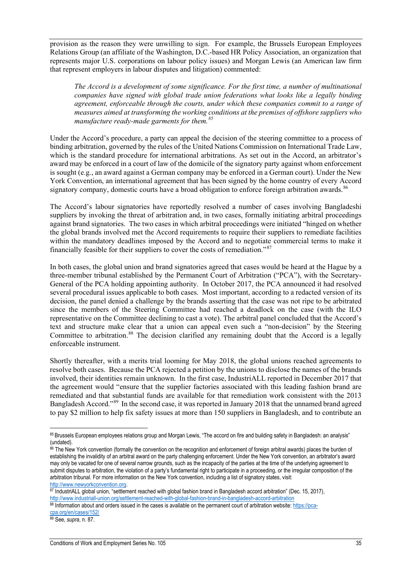provision as the reason they were unwilling to sign. For example, the Brussels European Employees Relations Group (an affiliate of the Washington, D.C.-based HR Policy Association, an organization that represents major U.S. corporations on labour policy issues) and Morgan Lewis (an American law firm that represent employers in labour disputes and litigation) commented:

*The Accord is a development of some significance. For the first time, a number of multinational companies have signed with global trade union federations what looks like a legally binding agreement, enforceable through the courts, under which these companies commit to a range of measures aimed at transforming the working conditions at the premises of offshore suppliers who manufacture ready-made garments for them.[85](#page-36-1)*

Under the Accord's procedure, a party can appeal the decision of the steering committee to a process of binding arbitration, governed by the rules of the [United Nations Commission on International Trade Law,](http://www.uncitral.org/uncitral/index.html) which is the standard procedure for international arbitrations. As set out in the Accord, an arbitrator's award may be enforced in a court of law of the domicile of the signatory party against whom enforcement is sought (e.g., an award against a German company may be enforced in a German court). Under the New York Convention, an international agreement that has been signed by the home country of every Accord signatory company, domestic courts have a broad obligation to enforce foreign arbitration awards.<sup>[86](#page-36-2)</sup>

The Accord's labour signatories have reportedly resolved a number of cases involving Bangladeshi suppliers by invoking the threat of arbitration and, in two cases, formally initiating arbitral proceedings against brand signatories. The two cases in which arbitral proceedings were initiated "hinged on whether the global brands involved met the Accord requirements to require their suppliers to remediate facilities within the mandatory deadlines imposed by the Accord and to negotiate commercial terms to make it financially feasible for their suppliers to cover the costs of remediation."[87](#page-36-3)

In both cases, the global union and brand signatories agreed that cases would be heard at the Hague by a three-member tribunal established by the Permanent Court of Arbitration ("PCA"), with the Secretary-General of the PCA holding appointing authority. In October 2017, the PCA announced it had resolved several procedural issues applicable to both cases. Most important, according to a redacted version of its decision, the panel denied a challenge by the brands asserting that the case was not ripe to be arbitrated since the members of the Steering Committee had reached a deadlock on the case (with the ILO representative on the Committee declining to cast a vote). The arbitral panel concluded that the Accord's text and structure make clear that a union can appeal even such a "non-decision" by the Steering Committee to arbitration.<sup>[88](#page-36-4)</sup> The decision clarified any remaining doubt that the Accord is a legally enforceable instrument.

Shortly thereafter, with a merits trial looming for May 2018, the global unions reached agreements to resolve both cases. Because the PCA rejected a petition by the unions to disclose the names of the brands involved, their identities remain unknown. In the first case, IndustriALL reported in December 2017 that the agreement would "ensure that the supplier factories associated with this leading fashion brand are remediated and that substantial funds are available for that remediation work consistent with the 2013 Bangladesh Accord."[89](#page-36-5) In the second case, it was reported in January 2018 that the unnamed brand agreed to pay \$2 million to help fix safety issues at more than 150 suppliers in Bangladesh, and to contribute an

<span id="page-35-3"></span><span id="page-35-2"></span><sup>89</sup> See, *supra*, n. 87.

 $\overline{a}$ <sup>85</sup> Brussels European employees relations group and Morgan Lewis, "The accord on fire and building safety in Bangladesh: an analysis" (undated).

<span id="page-35-0"></span><sup>&</sup>lt;sup>86</sup> The New York convention (formally the convention on the recognition and enforcement of foreign arbitral awards) places the burden of establishing the invalidity of an arbitral award on the party challenging enforcement. Under the New York convention, an arbitrator's award may only be vacated for one of several narrow grounds, such as the incapacity of the parties at the time of the underlying agreement to submit disputes to arbitration, the violation of a party's fundamental right to participate in a proceeding, or the irregular composition of the arbitration tribunal. For more information on the New York convention, including a list of signatory states, visit:

<span id="page-35-1"></span>[http://www.newyorkconvention.org.](http://www.newyorkconvention.org/)<br><sup>87</sup> IndustriALL global union, "settlement reached with global fashion brand in Bangladesh accord arbitration" (Dec. 15, 2017), <http://www.industriall-union.org/settlement-reached-with-global-fashion-brand-in-bangladesh-accord-arbitration>

<sup>88</sup> Information about and orders issued in the cases is available on the permanent court of arbitration website: [https://pca](https://pca-cpa.org/en/cases/152/)[cpa.org/en/cases/152/](https://pca-cpa.org/en/cases/152/)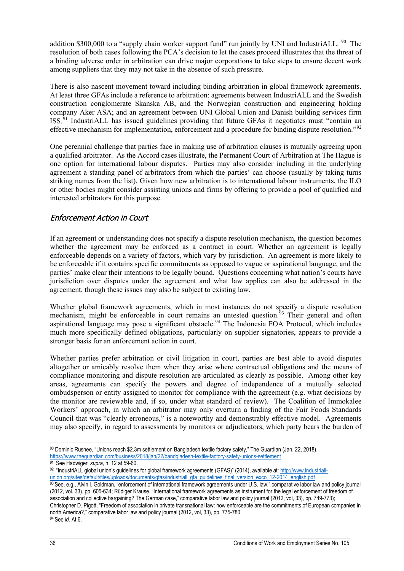addition \$300,000 to a "supply chain worker support fund" run jointly by UNI and IndustriALL.  $90$  The resolution of both cases following the PCA's decision to let the cases proceed illustrates that the threat of a binding adverse order in arbitration can drive major corporations to take steps to ensure decent work among suppliers that they may not take in the absence of such pressure.

There is also nascent movement toward including binding arbitration in global framework agreements. At least three GFAs include a reference to arbitration: agreements between IndustriALL and the Swedish construction conglomerate Skanska AB, and the Norwegian construction and engineering holding company Aker ASA; and an agreement between UNI Global Union and Danish building services firm ISS.[91](#page-37-2) IndustriALL has issued guidelines providing that future GFAs it negotiates must "contain an effective mechanism for implementation, enforcement and a procedure for binding dispute resolution."[92](#page-37-3) 

One perennial challenge that parties face in making use of arbitration clauses is mutually agreeing upon a qualified arbitrator. As the Accord cases illustrate, the Permanent Court of Arbitration at The Hague is one option for international labour disputes. Parties may also consider including in the underlying agreement a standing panel of arbitrators from which the parties' can choose (usually by taking turns striking names from the list). Given how new arbitration is to international labour instruments, the ILO or other bodies might consider assisting unions and firms by offering to provide a pool of qualified and interested arbitrators for this purpose.

### <span id="page-36-0"></span>Enforcement Action in Court

If an agreement or understanding does not specify a dispute resolution mechanism, the question becomes whether the agreement may be enforced as a contract in court. Whether an agreement is legally enforceable depends on a variety of factors, which vary by jurisdiction. An agreement is more likely to be enforceable if it contains specific commitments as opposed to vague or aspirational language, and the parties' make clear their intentions to be legally bound. Questions concerning what nation's courts have jurisdiction over disputes under the agreement and what law applies can also be addressed in the agreement, though these issues may also be subject to existing law.

Whether global framework agreements, which in most instances do not specify a dispute resolution mechanism, might be enforceable in court remains an untested question. $93$  Their general and often aspirational language may pose a significant obstacle.<sup>[94](#page-37-5)</sup> The Indonesia FOA Protocol, which includes much more specifically defined obligations, particularly on supplier signatories, appears to provide a stronger basis for an enforcement action in court.

Whether parties prefer arbitration or civil litigation in court, parties are best able to avoid disputes altogether or amicably resolve them when they arise where contractual obligations and the means of compliance monitoring and dispute resolution are articulated as clearly as possible. Among other key areas, agreements can specify the powers and degree of independence of a mutually selected ombudsperson or entity assigned to monitor for compliance with the agreement (e.g. what decisions by the monitor are reviewable and, if so, under what standard of review). The Coalition of Immokalee Workers' approach, in which an arbitrator may only overturn a finding of the Fair Foods Standards Council that was "clearly erroneous," is a noteworthy and demonstrably effective model. Agreements may also specify, in regard to assessments by monitors or adjudicators, which party bears the burden of

<sup>92</sup> "IndustriALL global union's guidelines for global framework agreements (GFAS)" (2014), available at[: http://www.industriall](http://www.industriall-union.org/sites/default/files/uploads/documents/gfas/industriall_gfa_guidelines_final_version_exco_12-2014_english.pdf)[union.org/sites/default/files/uploads/documents/gfas/industriall\\_gfa\\_guidelines\\_final\\_version\\_exco\\_12-2014\\_english.pdf](http://www.industriall-union.org/sites/default/files/uploads/documents/gfas/industriall_gfa_guidelines_final_version_exco_12-2014_english.pdf)

<span id="page-36-3"></span>93 See, e.g., Alvin I. Goldman, "enforcement of international framework agreements under U.S. law," comparative labor law and policy journal (2012, vol. 33), pp. 605-634; Rüdiger Krause, "International framework agreements as instrument for the legal enforcement of freedom of association and collective bargaining? The German case," comparative labor law and policy journal (2012, vol, 33), pp. 749-773); Christopher D. Pigott, "Freedom of association in private transnational law: how enforceable are the commitments of European companies in north America?," comparative labor law and policy journal (2012, vol, 33), pp. 775-780.

<span id="page-36-5"></span><span id="page-36-4"></span><sup>94</sup> See *id.* At 6.

<span id="page-36-2"></span><span id="page-36-1"></span> $\overline{a}$ <sup>90</sup> Dominic Rushee, "Unions reach \$2.3m settlement on Bangladesh textile factory safety," The Guardian (Jan. 22, 2018), <https://www.theguardian.com/business/2018/jan/22/bandgladesh-textile-factory-safety-unions-settlement> <sup>91</sup> See Hadwiger, *supra,* n. 12 at 59-60.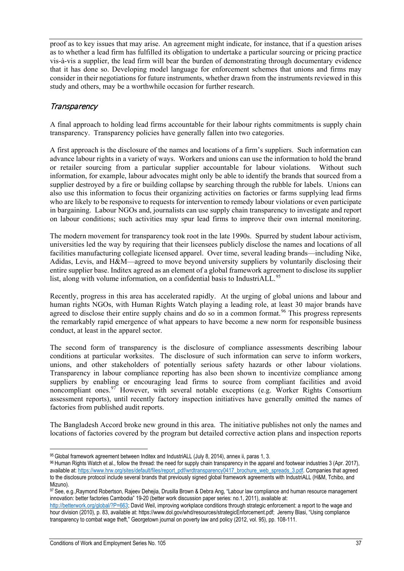proof as to key issues that may arise. An agreement might indicate, for instance, that if a question arises as to whether a lead firm has fulfilled its obligation to undertake a particular sourcing or pricing practice vis-à-vis a supplier, the lead firm will bear the burden of demonstrating through documentary evidence that it has done so. Developing model language for enforcement schemes that unions and firms may consider in their negotiations for future instruments, whether drawn from the instruments reviewed in this study and others, may be a worthwhile occasion for further research.

## <span id="page-37-0"></span>**Transparency**

A final approach to holding lead firms accountable for their labour rights commitments is supply chain transparency. Transparency policies have generally fallen into two categories.

A first approach is the disclosure of the names and locations of a firm's suppliers. Such information can advance labour rights in a variety of ways. Workers and unions can use the information to hold the brand or retailer sourcing from a particular supplier accountable for labour violations. Without such information, for example, labour advocates might only be able to identify the brands that sourced from a supplier destroyed by a fire or building collapse by searching through the rubble for labels. Unions can also use this information to focus their organizing activities on factories or farms supplying lead firms who are likely to be responsive to requests for intervention to remedy labour violations or even participate in bargaining. Labour NGOs and, journalists can use supply chain transparency to investigate and report on labour conditions; such activities may spur lead firms to improve their own internal monitoring.

The modern movement for transparency took root in the late 1990s. Spurred by student labour activism, universities led the way by requiring that their licensees publicly disclose the names and locations of all facilities manufacturing collegiate licensed apparel.Over time, several leading brands—including Nike, Adidas, Levis, and H&M—agreed to move beyond university suppliers by voluntarily disclosing their entire supplier base. Inditex agreed as an element of a global framework agreement to disclose its supplier list, along with volume information, on a confidential basis to IndustriALL.<sup>[95](#page-38-1)</sup>

Recently, progress in this area has accelerated rapidly. At the urging of global unions and labour and human rights NGOs, with Human Rights Watch playing a leading role, at least 30 major brands have agreed to disclose their entire supply chains and do so in a common format.<sup>[96](#page-38-2)</sup> This progress represents the remarkably rapid emergence of what appears to have become a new norm for responsible business conduct, at least in the apparel sector.

The second form of transparency is the disclosure of compliance assessments describing labour conditions at particular worksites. The disclosure of such information can serve to inform workers, unions, and other stakeholders of potentially serious safety hazards or other labour violations. Transparency in labour compliance reporting has also been shown to incentivize compliance among suppliers by enabling or encouraging lead firms to source from compliant facilities and avoid noncompliant ones.  $97$  However, with several notable exceptions (e.g. Worker Rights Consortium assessment reports), until recently factory inspection initiatives have generally omitted the names of factories from published audit reports.

The Bangladesh Accord broke new ground in this area. The initiative publishes not only the names and locations of factories covered by the program but detailed corrective action plans and inspection reports

<span id="page-37-1"></span> $\overline{a}$ 95 Global framework agreement between Inditex and IndustriALL (July 8, 2014), annex ii, paras 1, 3.

<span id="page-37-3"></span><span id="page-37-2"></span><sup>96</sup> Human Rights Watch et al., follow the thread: the need for supply chain transparency in the apparel and footwear industries 3 (Apr. 2017), available at[: https://www.hrw.org/sites/default/files/report\\_pdf/wrdtransparency0417\\_brochure\\_web\\_spreads\\_3.pdf.](https://www.hrw.org/sites/default/files/report_pdf/wrdtransparency0417_brochure_web_spreads_3.pdf) Companies that agreed to the disclosure protocol include several brands that previously signed global framework agreements with IndustriALL (H&M, Tchibo, and Mizuno).

<span id="page-37-4"></span><sup>97</sup> See, e.g.,Raymond Robertson, Rajeev Dehejia, Drusilla Brown & Debra Ang, "Labour law compliance and human resource management innovation: better factories Cambodia" 19-20 (better work discussion paper series: no.1, 2011), available at:

<span id="page-37-5"></span>[http://betterwork.org/global/?P=663;](http://betterwork.org/global/?P=663) David Weil, improving workplace conditions through strategic enforcement: a report to the wage and hour division (2010), p. 83, available at: https://www.dol.gov/whd/resources/strategicEnforcement.pdf; Jeremy Blasi, "Using compliance transparency to combat wage theft," Georgetown journal on poverty law and policy (2012, vol. 95), pp. 108-111.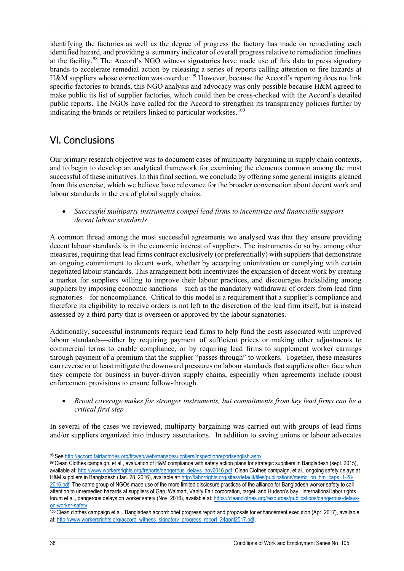identifying the factories as well as the degree of progress the factory has made on remediating each identified hazard, and providing a summary indicator of overall progress relative to remediation timelines at the facility.<sup>[98](#page-39-0)</sup> The Accord's NGO witness signatories have made use of this data to press signatory brands to accelerate remedial action by releasing a series of reports calling attention to fire hazards at H&M suppliers whose correction was overdue. <sup>[99](#page-39-1)</sup> However, because the Accord's reporting does not link specific factories to brands, this NGO analysis and advocacy was only possible because H&M agreed to make public its list of supplier factories, which could then be cross-checked with the Accord's detailed public reports. The NGOs have called for the Accord to strengthen its transparency policies further by indicating the brands or retailers linked to particular worksites.<sup>[100](#page-39-2)</sup>

## <span id="page-38-0"></span>VI. Conclusions

Our primary research objective was to document cases of multiparty bargaining in supply chain contexts, and to begin to develop an analytical framework for examining the elements common among the most successful of these initiatives. In this final section, we conclude by offering some general insights gleaned from this exercise, which we believe have relevance for the broader conversation about decent work and labour standards in the era of global supply chains.

• *Successful multiparty instruments compel lead firms to incentivize and financially support decent labour standards* 

A common thread among the most successful agreements we analysed was that they ensure providing decent labour standards is in the economic interest of suppliers. The instruments do so by, among other measures, requiring that lead firms contract exclusively (or preferentially) with suppliers that demonstrate an ongoing commitment to decent work, whether by accepting unionization or complying with certain negotiated labour standards. This arrangement both incentivizes the expansion of decent work by creating a market for suppliers willing to improve their labour practices, and discourages backsliding among suppliers by imposing economic sanctions—such as the mandatory withdrawal of orders from lead firm signatories—for noncompliance. Critical to this model is a requirement that a supplier's compliance and therefore its eligibility to receive orders is not left to the discretion of the lead firm itself, but is instead assessed by a third party that is overseen or approved by the labour signatories.

Additionally, successful instruments require lead firms to help fund the costs associated with improved labour standards—either by requiring payment of sufficient prices or making other adjustments to commercial terms to enable compliance, or by requiring lead firms to supplement worker earnings through payment of a premium that the supplier "passes through" to workers. Together, these measures can reverse or at least mitigate the downward pressures on labour standards that suppliers often face when they compete for business in buyer-driven supply chains, especially when agreements include robust enforcement provisions to ensure follow-through.

• *Broad coverage makes for stronger instruments, but commitments from key lead firms can be a critical first step*

In several of the cases we reviewed, multiparty bargaining was carried out with groups of lead firms and/or suppliers organized into industry associations. In addition to saving unions or labour advocates

 $\overline{a}$ 

<span id="page-38-3"></span><span id="page-38-2"></span><span id="page-38-1"></span><sup>98</sup> See http://accord.fairfactories.org/ffcweb/web/managesuppliers/inspectionreportsenglish.aspx.<br>99 Clean Clothes campaign, et al., evaluation of H&M compliance with safety action plans for strategic suppliers in Banglades available at[: http://www.workersrights.org/freports/dangerous\\_delays\\_nov2016.pdf;](http://www.workersrights.org/freports/dangerous_delays_nov2016.pdf) Clean Clothes campaign, et al., ongoing safety delays at H&M suppliers in Bangladesh (Jan. 28, 2016), available at: [http://laborrights.org/sites/default/files/publications/memo\\_on\\_hm\\_caps\\_1-28-](http://laborrights.org/sites/default/files/publications/memo_on_hm_caps_1-28-2016.pdf) [2016.pdf.](http://laborrights.org/sites/default/files/publications/memo_on_hm_caps_1-28-2016.pdf) The same group of NGOs made use of the more limited disclosure practices of the alliance for Bangladesh worker safety to call attention to unremedied hazards at suppliers of Gap, Walmart, Vanity Fair corporation, target, and Hudson's bay. International labor rights forum et al., dangerous delays on worker safety (Nov. 2016), available at[: https://cleanclothes.org/resources/publications/dangerous-delays](https://cleanclothes.org/resources/publications/dangerous-delays-on-worker-safety)[on-worker-safety](https://cleanclothes.org/resources/publications/dangerous-delays-on-worker-safety)

<sup>100</sup> Clean clothes campaign et al., Bangladesh accord: brief progress report and proposals for enhancement execution (Apr. 2017), available at: [http://www.workersrights.org/accord\\_witness\\_signatory\\_progress\\_report\\_24april2017.pdf.](http://www.workersrights.org/accord_witness_signatory_progress_report_24april2017.pdf)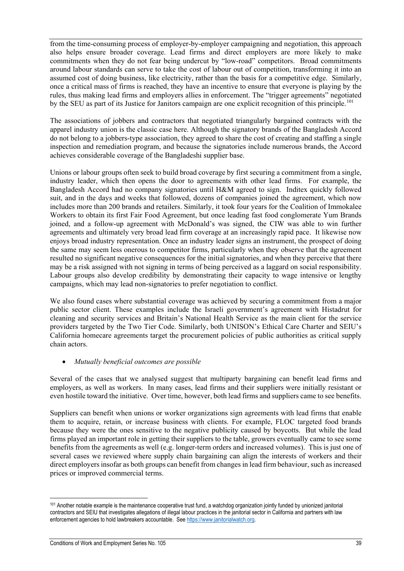from the time-consuming process of employer-by-employer campaigning and negotiation, this approach also helps ensure broader coverage. Lead firms and direct employers are more likely to make commitments when they do not fear being undercut by "low-road" competitors. Broad commitments around labour standards can serve to take the cost of labour out of competition, transforming it into an assumed cost of doing business, like electricity, rather than the basis for a competitive edge. Similarly, once a critical mass of firms is reached, they have an incentive to ensure that everyone is playing by the rules, thus making lead firms and employers allies in enforcement. The "trigger agreements" negotiated by the SEU as part of its Justice for Janitors campaign are one explicit recognition of this principle.<sup>101</sup>

The associations of jobbers and contractors that negotiated triangularly bargained contracts with the apparel industry union is the classic case here. Although the signatory brands of the Bangladesh Accord do not belong to a jobbers-type association, they agreed to share the cost of creating and staffing a single inspection and remediation program, and because the signatories include numerous brands, the Accord achieves considerable coverage of the Bangladeshi supplier base.

Unions or labour groups often seek to build broad coverage by first securing a commitment from a single, industry leader, which then opens the door to agreements with other lead firms. For example, the Bangladesh Accord had no company signatories until H&M agreed to sign. Inditex quickly followed suit, and in the days and weeks that followed, dozens of companies joined the agreement, which now includes more than 200 brands and retailers. Similarly, it took four years for the Coalition of Immokalee Workers to obtain its first Fair Food Agreement, but once leading fast food conglomerate Yum Brands joined, and a follow-up agreement with McDonald's was signed, the CIW was able to win further agreements and ultimately very broad lead firm coverage at an increasingly rapid pace. It likewise now enjoys broad industry representation. Once an industry leader signs an instrument, the prospect of doing the same may seem less onerous to competitor firms, particularly when they observe that the agreement resulted no significant negative consequences for the initial signatories, and when they perceive that there may be a risk assigned with not signing in terms of being perceived as a laggard on social responsibility. Labour groups also develop credibility by demonstrating their capacity to wage intensive or lengthy campaigns, which may lead non-signatories to prefer negotiation to conflict.

We also found cases where substantial coverage was achieved by securing a commitment from a major public sector client. These examples include the Israeli government's agreement with Histadrut for cleaning and security services and Britain's National Health Service as the main client for the service providers targeted by the Two Tier Code. Similarly, both UNISON's Ethical Care Charter and SEIU's California homecare agreements target the procurement policies of public authorities as critical supply chain actors.

#### • *Mutually beneficial outcomes are possible*

Several of the cases that we analysed suggest that multiparty bargaining can benefit lead firms and employers, as well as workers. In many cases, lead firms and their suppliers were initially resistant or even hostile toward the initiative. Over time, however, both lead firms and suppliers came to see benefits.

Suppliers can benefit when unions or worker organizations sign agreements with lead firms that enable them to acquire, retain, or increase business with clients. For example, FLOC targeted food brands because they were the ones sensitive to the negative publicity caused by boycotts. But while the lead firms played an important role in getting their suppliers to the table, growers eventually came to see some benefits from the agreements as well (e.g. longer-term orders and increased volumes). This is just one of several cases we reviewed where supply chain bargaining can align the interests of workers and their direct employers insofar as both groups can benefit from changes in lead firm behaviour, such as increased prices or improved commercial terms.

<span id="page-39-2"></span><span id="page-39-1"></span><span id="page-39-0"></span> $\overline{a}$ <sup>101</sup> Another notable example is the maintenance cooperative trust fund, a watchdog organization jointly funded by unionized janitorial contractors and SEIU that investigates allegations of illegal labour practices in the janitorial sector in California and partners with law enforcement agencies to hold lawbreakers accountable. Se[e https://www.janitorialwatch.org.](https://www.janitorialwatch.org/)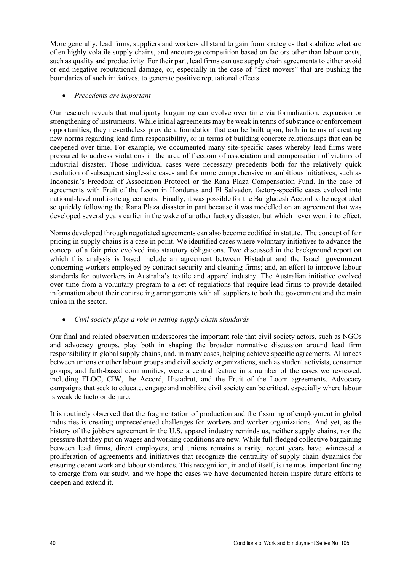More generally, lead firms, suppliers and workers all stand to gain from strategies that stabilize what are often highly volatile supply chains, and encourage competition based on factors other than labour costs, such as quality and productivity. For their part, lead firms can use supply chain agreements to either avoid or end negative reputational damage, or, especially in the case of "first movers" that are pushing the boundaries of such initiatives, to generate positive reputational effects.

#### • *Precedents are important*

Our research reveals that multiparty bargaining can evolve over time via formalization, expansion or strengthening of instruments. While initial agreements may be weak in terms of substance or enforcement opportunities, they nevertheless provide a foundation that can be built upon, both in terms of creating new norms regarding lead firm responsibility, or in terms of building concrete relationships that can be deepened over time. For example, we documented many site-specific cases whereby lead firms were pressured to address violations in the area of freedom of association and compensation of victims of industrial disaster. Those individual cases were necessary precedents both for the relatively quick resolution of subsequent single-site cases and for more comprehensive or ambitious initiatives, such as Indonesia's Freedom of Association Protocol or the Rana Plaza Compensation Fund. In the case of agreements with Fruit of the Loom in Honduras and El Salvador, factory-specific cases evolved into national-level multi-site agreements. Finally, it was possible for the Bangladesh Accord to be negotiated so quickly following the Rana Plaza disaster in part because it was modelled on an agreement that was developed several years earlier in the wake of another factory disaster, but which never went into effect.

Norms developed through negotiated agreements can also become codified in statute. The concept of fair pricing in supply chains is a case in point. We identified cases where voluntary initiatives to advance the concept of a fair price evolved into statutory obligations. Two discussed in the background report on which this analysis is based include an agreement between Histadrut and the Israeli government concerning workers employed by contract security and cleaning firms; and, an effort to improve labour standards for outworkers in Australia's textile and apparel industry. The Australian initiative evolved over time from a voluntary program to a set of regulations that require lead firms to provide detailed information about their contracting arrangements with all suppliers to both the government and the main union in the sector.

#### • *Civil society plays a role in setting supply chain standards*

Our final and related observation underscores the important role that civil society actors, such as NGOs and advocacy groups, play both in shaping the broader normative discussion around lead firm responsibility in global supply chains, and, in many cases, helping achieve specific agreements. Alliances between unions or other labour groups and civil society organizations, such as student activists, consumer groups, and faith-based communities, were a central feature in a number of the cases we reviewed, including FLOC, CIW, the Accord, Histadrut, and the Fruit of the Loom agreements. Advocacy campaigns that seek to educate, engage and mobilize civil society can be critical, especially where labour is weak de facto or de jure.

<span id="page-40-0"></span>It is routinely observed that the fragmentation of production and the fissuring of employment in global industries is creating unprecedented challenges for workers and worker organizations. And yet, as the history of the jobbers agreement in the U.S. apparel industry reminds us, neither supply chains, nor the pressure that they put on wages and working conditions are new. While full-fledged collective bargaining between lead firms, direct employers, and unions remains a rarity, recent years have witnessed a proliferation of agreements and initiatives that recognize the centrality of supply chain dynamics for ensuring decent work and labour standards. This recognition, in and of itself, is the most important finding to emerge from our study, and we hope the cases we have documented herein inspire future efforts to deepen and extend it.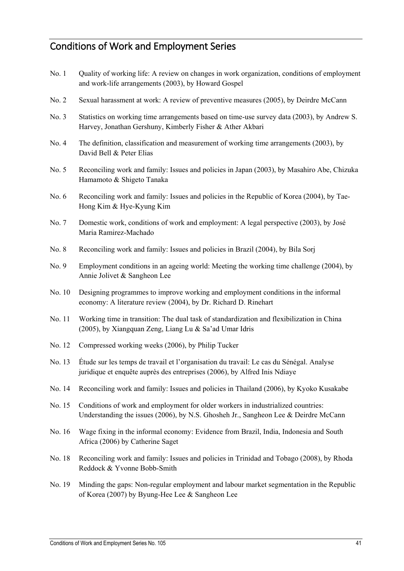## <span id="page-41-0"></span>Conditions of Work and Employment Series

- No. 1 Quality of working life: A review on changes in work organization, conditions of employment and work-life arrangements (2003), by Howard Gospel
- No. 2 Sexual harassment at work: A review of preventive measures (2005), by Deirdre McCann
- No. 3 Statistics on working time arrangements based on time-use survey data (2003), by Andrew S. Harvey, Jonathan Gershuny, Kimberly Fisher & Ather Akbari
- No. 4 The definition, classification and measurement of working time arrangements (2003), by David Bell & Peter Elias
- No. 5 Reconciling work and family: Issues and policies in Japan (2003), by Masahiro Abe, Chizuka Hamamoto & Shigeto Tanaka
- No. 6 Reconciling work and family: Issues and policies in the Republic of Korea (2004), by Tae-Hong Kim & Hye-Kyung Kim
- No. 7 Domestic work, conditions of work and employment: A legal perspective (2003), by José Maria Ramirez-Machado
- No. 8 Reconciling work and family: Issues and policies in Brazil (2004), by Bila Sorj
- No. 9 Employment conditions in an ageing world: Meeting the working time challenge (2004), by Annie Jolivet & Sangheon Lee
- No. 10 Designing programmes to improve working and employment conditions in the informal economy: A literature review (2004), by Dr. Richard D. Rinehart
- No. 11 Working time in transition: The dual task of standardization and flexibilization in China (2005), by Xiangquan Zeng, Liang Lu & Sa'ad Umar Idris
- No. 12 Compressed working weeks (2006), by Philip Tucker
- No. 13 Étude sur les temps de travail et l'organisation du travail: Le cas du Sénégal. Analyse juridique et enquête auprès des entreprises (2006), by Alfred Inis Ndiaye
- No. 14 Reconciling work and family: Issues and policies in Thailand (2006), by Kyoko Kusakabe
- No. 15 Conditions of work and employment for older workers in industrialized countries: Understanding the issues (2006), by N.S. Ghosheh Jr., Sangheon Lee & Deirdre McCann
- No. 16 Wage fixing in the informal economy: Evidence from Brazil, India, Indonesia and South Africa (2006) by Catherine Saget
- No. 18 Reconciling work and family: Issues and policies in Trinidad and Tobago (2008), by Rhoda Reddock & Yvonne Bobb-Smith
- No. 19 Minding the gaps: Non-regular employment and labour market segmentation in the Republic of Korea (2007) by Byung-Hee Lee & Sangheon Lee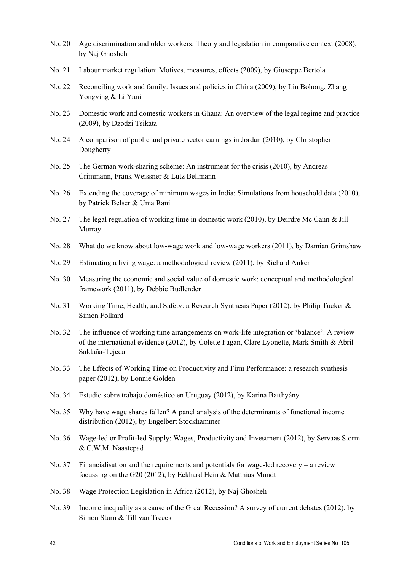- No. 20 Age discrimination and older workers: Theory and legislation in comparative context (2008), by Naj Ghosheh
- No. 21 Labour market regulation: Motives, measures, effects (2009), by Giuseppe Bertola
- No. 22 Reconciling work and family: Issues and policies in China (2009), by Liu Bohong, Zhang Yongying & Li Yani
- No. 23 Domestic work and domestic workers in Ghana: An overview of the legal regime and practice (2009), by Dzodzi Tsikata
- No. 24 A comparison of public and private sector earnings in Jordan (2010), by Christopher Dougherty
- No. 25 The German work-sharing scheme: An instrument for the crisis (2010), by Andreas Crimmann, Frank Weissner & Lutz Bellmann
- No. 26 Extending the coverage of minimum wages in India: Simulations from household data (2010), by Patrick Belser & Uma Rani
- No. 27 The legal regulation of working time in domestic work (2010), by Deirdre Mc Cann & Jill Murray
- No. 28 What do we know about low-wage work and low-wage workers (2011), by Damian Grimshaw
- No. 29 Estimating a living wage: a methodological review (2011), by Richard Anker
- No. 30 Measuring the economic and social value of domestic work: conceptual and methodological framework (2011), by Debbie Budlender
- No. 31 Working Time, Health, and Safety: a Research Synthesis Paper (2012), by Philip Tucker & Simon Folkard
- No. 32 The influence of working time arrangements on work-life integration or 'balance': A review of the international evidence (2012), by Colette Fagan, Clare Lyonette, Mark Smith & Abril Saldaña-Tejeda
- No. 33 The Effects of Working Time on Productivity and Firm Performance: a research synthesis paper (2012), by Lonnie Golden
- No. 34 Estudio sobre trabajo doméstico en Uruguay (2012), by Karina Batthyány
- No. 35 Why have wage shares fallen? A panel analysis of the determinants of functional income distribution (2012), by Engelbert Stockhammer
- No. 36 Wage-led or Profit-led Supply: Wages, Productivity and Investment (2012), by Servaas Storm & C.W.M. Naastepad
- No. 37 Financialisation and the requirements and potentials for wage-led recovery a review focussing on the G20 (2012), by Eckhard Hein & Matthias Mundt
- No. 38 Wage Protection Legislation in Africa (2012), by Naj Ghosheh
- No. 39 Income inequality as a cause of the Great Recession? A survey of current debates (2012), by Simon Sturn & Till van Treeck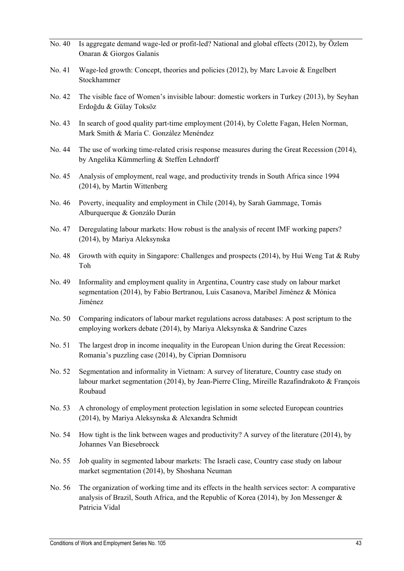| No. 40 | Is aggregate demand wage-led or profit-led? National and global effects (2012), by Özlem<br>Onaran & Giorgos Galanis                                                                                      |
|--------|-----------------------------------------------------------------------------------------------------------------------------------------------------------------------------------------------------------|
| No. 41 | Wage-led growth: Concept, theories and policies $(2012)$ , by Marc Lavoie & Engelbert<br>Stockhammer                                                                                                      |
| No. 42 | The visible face of Women's invisible labour: domestic workers in Turkey (2013), by Seyhan<br>Erdoğdu & Gülay Toksöz                                                                                      |
| No. 43 | In search of good quality part-time employment (2014), by Colette Fagan, Helen Norman,<br>Mark Smith & María C. González Menéndez                                                                         |
| No. 44 | The use of working time-related crisis response measures during the Great Recession (2014),<br>by Angelika Kümmerling & Steffen Lehndorff                                                                 |
| No. 45 | Analysis of employment, real wage, and productivity trends in South Africa since 1994<br>(2014), by Martin Wittenberg                                                                                     |
| No. 46 | Poverty, inequality and employment in Chile (2014), by Sarah Gammage, Tomás<br>Alburquerque & Gonzálo Durán                                                                                               |
| No. 47 | Deregulating labour markets: How robust is the analysis of recent IMF working papers?<br>(2014), by Mariya Aleksynska                                                                                     |
| No. 48 | Growth with equity in Singapore: Challenges and prospects (2014), by Hui Weng Tat & Ruby<br>Toh                                                                                                           |
| No. 49 | Informality and employment quality in Argentina, Country case study on labour market<br>segmentation (2014), by Fabio Bertranou, Luis Casanova, Maribel Jiménez & Mónica<br>Jiménez                       |
| No. 50 | Comparing indicators of labour market regulations across databases: A post scriptum to the<br>employing workers debate (2014), by Mariya Aleksynska & Sandrine Cazes                                      |
| No. 51 | The largest drop in income inequality in the European Union during the Great Recession:<br>Romania's puzzling case (2014), by Ciprian Domnisoru                                                           |
| No. 52 | Segmentation and informality in Vietnam: A survey of literature, Country case study on<br>labour market segmentation (2014), by Jean-Pierre Cling, Mireille Razafindrakoto & François<br>Roubaud          |
| No. 53 | A chronology of employment protection legislation in some selected European countries<br>(2014), by Mariya Aleksynska & Alexandra Schmidt                                                                 |
| No. 54 | How tight is the link between wages and productivity? A survey of the literature $(2014)$ , by<br>Johannes Van Biesebroeck                                                                                |
| No. 55 | Job quality in segmented labour markets: The Israeli case, Country case study on labour<br>market segmentation (2014), by Shoshana Neuman                                                                 |
| No. 56 | The organization of working time and its effects in the health services sector: A comparative<br>analysis of Brazil, South Africa, and the Republic of Korea (2014), by Jon Messenger &<br>Patricia Vidal |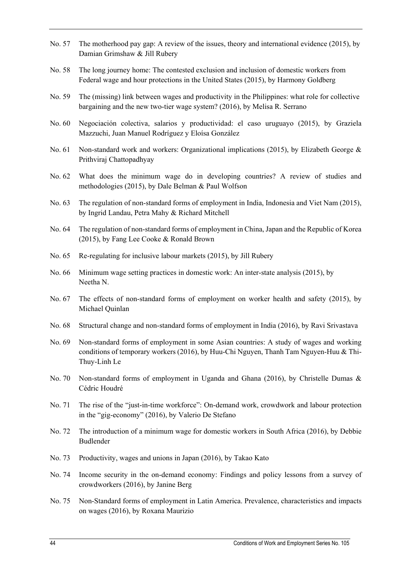- No. 57 The motherhood pay gap: A review of the issues, theory and international evidence (2015), by Damian Grimshaw & Jill Rubery
- No. 58 The long journey home: The contested exclusion and inclusion of domestic workers from Federal wage and hour protections in the United States (2015), by Harmony Goldberg
- No. 59 The (missing) link between wages and productivity in the Philippines: what role for collective bargaining and the new two-tier wage system? (2016), by Melisa R. Serrano
- No. 60 Negociación colectiva, salarios y productividad: el caso uruguayo (2015), by Graziela Mazzuchi, Juan Manuel Rodríguez y Eloísa González
- No. 61 Non-standard work and workers: Organizational implications (2015), by Elizabeth George & Prithviraj Chattopadhyay
- No. 62 What does the minimum wage do in developing countries? A review of studies and methodologies (2015), by Dale Belman & Paul Wolfson
- No. 63 The regulation of non-standard forms of employment in India, Indonesia and Viet Nam (2015), by Ingrid Landau, Petra Mahy & Richard Mitchell
- No. 64 The regulation of non-standard forms of employment in China, Japan and the Republic of Korea (2015), by Fang Lee Cooke & Ronald Brown
- No. 65 Re-regulating for inclusive labour markets (2015), by Jill Rubery
- No. 66 Minimum wage setting practices in domestic work: An inter-state analysis (2015), by Neetha N.
- No. 67 The effects of non-standard forms of employment on worker health and safety (2015), by Michael Quinlan
- No. 68 Structural change and non-standard forms of employment in India (2016), by Ravi Srivastava
- No. 69 Non-standard forms of employment in some Asian countries: A study of wages and working conditions of temporary workers (2016), by Huu-Chi Nguyen, Thanh Tam Nguyen-Huu & Thi-Thuy-Linh Le
- No. 70 Non-standard forms of employment in Uganda and Ghana (2016), by Christelle Dumas & Cédric Houdré
- No. 71 The rise of the "just-in-time workforce": On-demand work, crowdwork and labour protection in the "gig-economy" (2016), by Valerio De Stefano
- No. 72 The introduction of a minimum wage for domestic workers in South Africa (2016), by Debbie Budlender
- No. 73 Productivity, wages and unions in Japan (2016), by Takao Kato
- No. 74 Income security in the on-demand economy: Findings and policy lessons from a survey of crowdworkers (2016), by Janine Berg
- No. 75 Non-Standard forms of employment in Latin America. Prevalence, characteristics and impacts on wages (2016), by Roxana Maurizio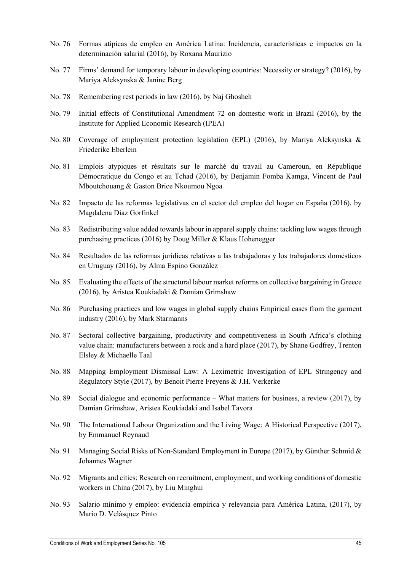- No. 76 Formas atípicas de empleo en América Latina: Incidencia, características e impactos en la determinación salarial (2016), by Roxana Maurizio
- No. 77 Firms' demand for temporary labour in developing countries: Necessity or strategy? (2016), by Mariya Aleksynska & Janine Berg
- No. 78 Remembering rest periods in law (2016), by Naj Ghosheh
- No. 79 Initial effects of Constitutional Amendment 72 on domestic work in Brazil (2016), by the Institute for Applied Economic Research (IPEA)
- No. 80 Coverage of employment protection legislation (EPL) (2016), by Mariya Aleksynska & Friederike Eberlein
- No. 81 Emplois atypiques et résultats sur le marché du travail au Cameroun, en République Démocratique du Congo et au Tchad (2016), by Benjamin Fomba Kamga, Vincent de Paul Mboutchouang & Gaston Brice Nkoumou Ngoa
- No. 82 Impacto de las reformas legislativas en el sector del empleo del hogar en España (2016), by Magdalena Diaz Gorfinkel
- No. 83 Redistributing value added towards labour in apparel supply chains: tackling low wages through purchasing practices (2016) by Doug Miller & Klaus Hohenegger
- No. 84 Resultados de las reformas jurídicas relativas a las trabajadoras y los trabajadores domésticos en Uruguay (2016), by Alma Espino González
- No. 85 Evaluating the effects of the structural labour market reforms on collective bargaining in Greece (2016), by Aristea Koukiadaki & Damian Grimshaw
- No. 86 Purchasing practices and low wages in global supply chains Empirical cases from the garment industry (2016), by Mark Starmanns
- No. 87 Sectoral collective bargaining, productivity and competitiveness in South Africa's clothing value chain: manufacturers between a rock and a hard place (2017), by Shane Godfrey, Trenton Elsley & Michaelle Taal
- No. 88 Mapping Employment Dismissal Law: A Leximetric Investigation of EPL Stringency and Regulatory Style (2017), by Benoit Pierre Freyens & J.H. Verkerke
- No. 89 Social dialogue and economic performance What matters for business, a review (2017), by Damian Grimshaw, Aristea Koukiadaki and Isabel Tavora
- No. 90 The International Labour Organization and the Living Wage: A Historical Perspective (2017), by Emmanuel Reynaud
- No. 91 Managing Social Risks of Non-Standard Employment in Europe (2017), by Günther Schmid & Johannes Wagner
- No. 92 Migrants and cities: Research on recruitment, employment, and working conditions of domestic workers in China (2017), by Liu Minghui
- No. 93 Salario mínimo y empleo: evidencia empírica y relevancia para América Latina, (2017), by Mario D. Velásquez Pinto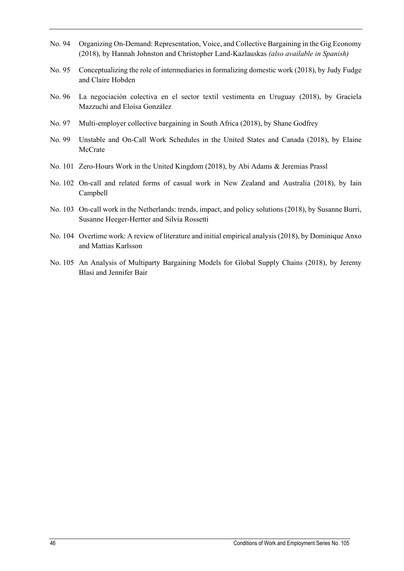- No. 94 Organizing On-Demand: Representation, Voice, and Collective Bargaining in the Gig Economy (2018), by Hannah Johnston and Christopher Land-Kazlauskas *(also available in Spanish)*
- No. 95 Conceptualizing the role of intermediaries in formalizing domestic work (2018), by Judy Fudge and Claire Hobden
- No. 96 La negociación colectiva en el sector textil vestimenta en Uruguay (2018), by Graciela Mazzuchi and Eloísa González
- No. 97 Multi-employer collective bargaining in South Africa (2018), by Shane Godfrey
- No. 99 Unstable and On-Call Work Schedules in the United States and Canada (2018), by Elaine McCrate
- No. 101 Zero-Hours Work in the United Kingdom (2018), by Abi Adams & Jeremias Prassl
- No. 102 On-call and related forms of casual work in New Zealand and Australia (2018), by Iain Campbell
- No. 103 On-call work in the Netherlands: trends, impact, and policy solutions (2018), by Susanne Burri, Susanne Heeger-Hertter and Silvia Rossetti
- No. 104 Overtime work: A review of literature and initial empirical analysis (2018), by Dominique Anxo and Mattias Karlsson
- No. 105 An Analysis of Multiparty Bargaining Models for Global Supply Chains (2018), by Jeremy Blasi and Jennifer Bair